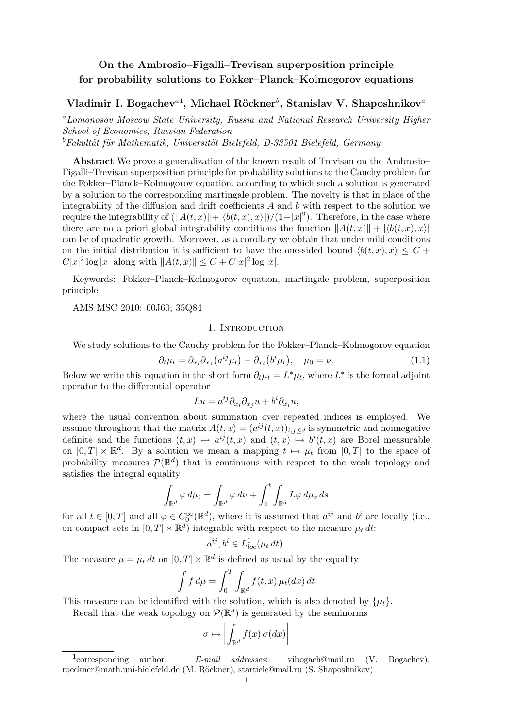# On the Ambrosio–Figalli–Trevisan superposition principle for probability solutions to Fokker–Planck–Kolmogorov equations

# Vladimir I. Bogachev ${}^{a1}$ , Michael Röckner ${}^{b}$ , Stanislav V. Shaposhnikov ${}^{a}$

<sup>a</sup>Lomonosov Moscow State University, Russia and National Research University Higher School of Economics, Russian Federation  $b$ Fakultät für Mathematik, Universität Bielefeld, D-33501 Bielefeld, Germany

Abstract We prove a generalization of the known result of Trevisan on the Ambrosio– Figalli–Trevisan superposition principle for probability solutions to the Cauchy problem for the Fokker–Planck–Kolmogorov equation, according to which such a solution is generated by a solution to the corresponding martingale problem. The novelty is that in place of the integrability of the diffusion and drift coefficients  $A$  and  $b$  with respect to the solution we require the integrability of  $(||A(t, x)|| + |\langle b(t, x), x \rangle|)/((1+|x|^2)$ . Therefore, in the case where there are no a priori global integrability conditions the function  $||A(t, x)|| + |\langle b(t, x), x \rangle|$ can be of quadratic growth. Moreover, as a corollary we obtain that under mild conditions on the initial distribution it is sufficient to have the one-sided bound  $\langle b(t, x), x \rangle \leq C +$  $C|x|^2 \log |x|$  along with  $||A(t,x)|| \leq C + C|x|^2 \log |x|$ .

Keywords: Fokker–Planck–Kolmogorov equation, martingale problem, superposition principle

AMS MSC 2010: 60J60; 35Q84

### 1. INTRODUCTION

We study solutions to the Cauchy problem for the Fokker–Planck–Kolmogorov equation

$$
\partial_t \mu_t = \partial_{x_i} \partial_{x_j} (a^{ij} \mu_t) - \partial_{x_i} (b^i \mu_t), \quad \mu_0 = \nu. \tag{1.1}
$$

Below we write this equation in the short form  $\partial_t \mu_t = L^* \mu_t$ , where  $L^*$  is the formal adjoint operator to the differential operator

$$
Lu = a^{ij}\partial_{x_i}\partial_{x_j}u + b^i\partial_{x_i}u,
$$

where the usual convention about summation over repeated indices is employed. We assume throughout that the matrix  $A(t, x) = (a^{ij}(t, x))_{i,j \leq d}$  is symmetric and nonnegative definite and the functions  $(t, x) \mapsto a^{ij}(t, x)$  and  $(t, x) \mapsto b^i(t, x)$  are Borel measurable on  $[0, T] \times \mathbb{R}^d$ . By a solution we mean a mapping  $t \mapsto \mu_t$  from  $[0, T]$  to the space of probability measures  $\mathcal{P}(\mathbb{R}^d)$  that is continuous with respect to the weak topology and satisfies the integral equality

$$
\int_{\mathbb{R}^d} \varphi \, d\mu_t = \int_{\mathbb{R}^d} \varphi \, d\nu + \int_0^t \int_{\mathbb{R}^d} L\varphi \, d\mu_s \, ds
$$

for all  $t \in [0,T]$  and all  $\varphi \in C_0^{\infty}(\mathbb{R}^d)$ , where it is assumed that  $a^{ij}$  and  $b^i$  are locally (i.e., on compact sets in  $[0, T] \times \mathbb{R}^d$  integrable with respect to the measure  $\mu_t dt$ :

$$
a^{ij}, b^i \in L^1_{loc}(\mu_t dt).
$$

The measure  $\mu = \mu_t dt$  on  $[0, T] \times \mathbb{R}^d$  is defined as usual by the equality

$$
\int f d\mu = \int_0^T \int_{\mathbb{R}^d} f(t, x) \mu_t(dx) dt
$$

This measure can be identified with the solution, which is also denoted by  $\{\mu_t\}$ .

Recall that the weak topology on  $\mathcal{P}(\mathbb{R}^d)$  is generated by the seminorms

$$
\sigma \mapsto \left| \int_{\mathbb{R}^d} f(x) \, \sigma(dx) \right|
$$

 $\frac{1}{2}$  corresponding author.  $E-mail \quad \textit{addresses:} \qquad \text{vibogach@mail.ru} \quad (V. \quad \text{Bogachev}),$ roeckner@math.uni-bielefeld.de (M. Röckner), starticle@mail.ru (S. Shaposhnikov)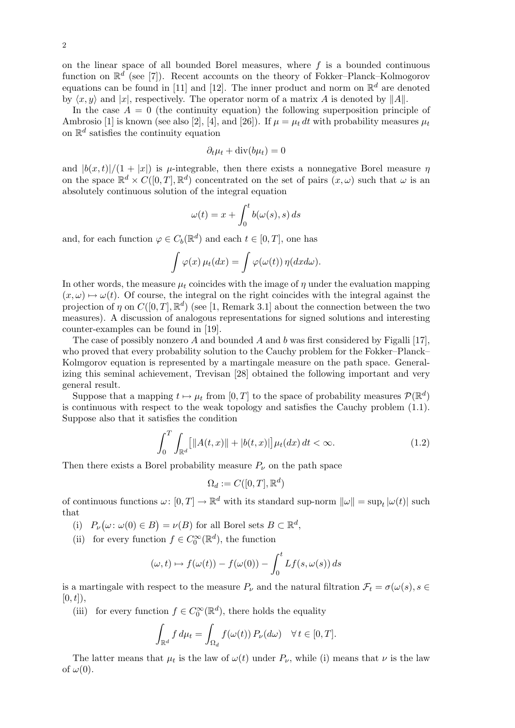on the linear space of all bounded Borel measures, where  $f$  is a bounded continuous function on  $\mathbb{R}^d$  (see [7]). Recent accounts on the theory of Fokker–Planck–Kolmogorov equations can be found in [11] and [12]. The inner product and norm on  $\mathbb{R}^d$  are denoted by  $\langle x, y \rangle$  and  $|x|$ , respectively. The operator norm of a matrix A is denoted by  $||A||$ .

In the case  $A = 0$  (the continuity equation) the following superposition principle of Ambrosio [1] is known (see also [2], [4], and [26]). If  $\mu = \mu_t dt$  with probability measures  $\mu_t$ on  $\mathbb{R}^d$  satisfies the continuity equation

$$
\partial_t \mu_t + \operatorname{div}(b \mu_t) = 0
$$

and  $|b(x,t)|/(1+|x|)$  is  $\mu$ -integrable, then there exists a nonnegative Borel measure  $\eta$ on the space  $\mathbb{R}^d \times C([0,T], \mathbb{R}^d)$  concentrated on the set of pairs  $(x, \omega)$  such that  $\omega$  is an absolutely continuous solution of the integral equation

$$
\omega(t) = x + \int_0^t b(\omega(s), s) \, ds
$$

and, for each function  $\varphi \in C_b(\mathbb{R}^d)$  and each  $t \in [0, T]$ , one has

$$
\int \varphi(x) \,\mu_t(dx) = \int \varphi(\omega(t)) \,\eta(dx d\omega).
$$

In other words, the measure  $\mu_t$  coincides with the image of  $\eta$  under the evaluation mapping  $(x, \omega) \mapsto \omega(t)$ . Of course, the integral on the right coincides with the integral against the projection of  $\eta$  on  $C([0,T], \mathbb{R}^d)$  (see [1, Remark 3.1] about the connection between the two measures). A discussion of analogous representations for signed solutions and interesting counter-examples can be found in [19].

The case of possibly nonzero A and bounded A and b was first considered by Figalli [17], who proved that every probability solution to the Cauchy problem for the Fokker–Planck– Kolmgorov equation is represented by a martingale measure on the path space. Generalizing this seminal achievement, Trevisan [28] obtained the following important and very general result.

Suppose that a mapping  $t \mapsto \mu_t$  from  $[0, T]$  to the space of probability measures  $\mathcal{P}(\mathbb{R}^d)$ is continuous with respect to the weak topology and satisfies the Cauchy problem (1.1). Suppose also that it satisfies the condition

$$
\int_0^T \int_{\mathbb{R}^d} [||A(t,x)|| + |b(t,x)|] \mu_t(dx) dt < \infty.
$$
 (1.2)

Then there exists a Borel probability measure  $P_{\nu}$  on the path space

$$
\Omega_d:=C([0,T],\mathbb{R}^d)
$$

of continuous functions  $\omega: [0, T] \to \mathbb{R}^d$  with its standard sup-norm  $\|\omega\| = \sup_t |\omega(t)|$  such that

(i)  $P_{\nu}(\omega : \omega(0) \in B) = \nu(B)$  for all Borel sets  $B \subset \mathbb{R}^d$ ,

(ii) for every function  $f \in C_0^{\infty}(\mathbb{R}^d)$ , the function

$$
(\omega, t) \mapsto f(\omega(t)) - f(\omega(0)) - \int_0^t Lf(s, \omega(s)) ds
$$

is a martingale with respect to the measure  $P_\nu$  and the natural filtration  $\mathcal{F}_t = \sigma(\omega(s), s \in$  $[0, t]),$ 

(iii) for every function  $f \in C_0^{\infty}(\mathbb{R}^d)$ , there holds the equality

$$
\int_{\mathbb{R}^d} f d\mu_t = \int_{\Omega_d} f(\omega(t)) P_{\nu}(d\omega) \quad \forall \, t \in [0, T].
$$

The latter means that  $\mu_t$  is the law of  $\omega(t)$  under  $P_\nu$ , while (i) means that  $\nu$  is the law of  $\omega(0)$ .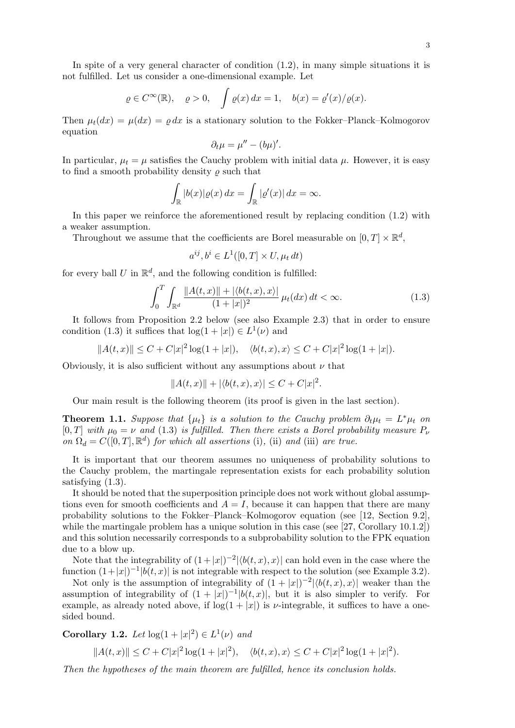In spite of a very general character of condition  $(1.2)$ , in many simple situations it is not fulfilled. Let us consider a one-dimensional example. Let

$$
\rho \in C^{\infty}(\mathbb{R}), \quad \rho > 0, \quad \int \rho(x) dx = 1, \quad b(x) = \rho'(x)/\rho(x).
$$

Then  $\mu_t(dx) = \mu(dx) = \rho dx$  is a stationary solution to the Fokker–Planck–Kolmogorov equation

$$
\partial_t \mu = \mu'' - (b\mu)'.
$$

In particular,  $\mu_t = \mu$  satisfies the Cauchy problem with initial data  $\mu$ . However, it is easy to find a smooth probability density  $\rho$  such that

$$
\int_{\mathbb{R}} |b(x)| \varrho(x) \, dx = \int_{\mathbb{R}} |\varrho'(x)| \, dx = \infty.
$$

In this paper we reinforce the aforementioned result by replacing condition (1.2) with a weaker assumption.

Throughout we assume that the coefficients are Borel measurable on  $[0, T] \times \mathbb{R}^d$ ,

$$
a^{ij}, b^i \in L^1([0, T] \times U, \mu_t dt)
$$

for every ball U in  $\mathbb{R}^d$ , and the following condition is fulfilled:

$$
\int_0^T \int_{\mathbb{R}^d} \frac{\|A(t,x)\| + |\langle b(t,x), x \rangle|}{(1+|x|)^2} \, \mu_t(dx) \, dt < \infty. \tag{1.3}
$$

It follows from Proposition 2.2 below (see also Example 2.3) that in order to ensure condition (1.3) it suffices that  $log(1+|x|) \in L^1(\nu)$  and

$$
||A(t,x)|| \le C + C|x|^2 \log(1+|x|), \quad \langle b(t,x), x \rangle \le C + C|x|^2 \log(1+|x|).
$$

Obviously, it is also sufficient without any assumptions about  $\nu$  that

$$
||A(t,x)|| + |\langle b(t,x),x \rangle| \le C + C|x|^2.
$$

Our main result is the following theorem (its proof is given in the last section).

**Theorem 1.1.** Suppose that  $\{\mu_t\}$  is a solution to the Cauchy problem  $\partial_t \mu_t = L^* \mu_t$  on [0, T] with  $\mu_0 = \nu$  and (1.3) is fulfilled. Then there exists a Borel probability measure  $P_\nu$ on  $\Omega_d = C([0, T], \mathbb{R}^d)$  for which all assertions (i), (ii) and (iii) are true.

It is important that our theorem assumes no uniqueness of probability solutions to the Cauchy problem, the martingale representation exists for each probability solution satisfying (1.3).

It should be noted that the superposition principle does not work without global assumptions even for smooth coefficients and  $A = I$ , because it can happen that there are many probability solutions to the Fokker–Planck–Kolmogorov equation (see [12, Section 9.2], while the martingale problem has a unique solution in this case (see [27, Corollary 10.1.2]) and this solution necessarily corresponds to a subprobability solution to the FPK equation due to a blow up.

Note that the integrability of  $(1+|x|)^{-2} |\langle b(t, x), x \rangle|$  can hold even in the case where the function  $(1+|x|)^{-1} |b(t,x)|$  is not integrable with respect to the solution (see Example 3.2).

Not only is the assumption of integrability of  $(1+|x|)^{-2}|\langle b(t,x),x\rangle|$  weaker than the assumption of integrability of  $(1+|x|)^{-1} |b(t,x)|$ , but it is also simpler to verify. For example, as already noted above, if  $log(1+|x|)$  is *v*-integrable, it suffices to have a onesided bound.

**Corollary 1.2.** Let  $\log(1+|x|^2) \in L^1(\nu)$  and

$$
||A(t,x)|| \leq C + C|x|^2 \log(1+|x|^2), \quad \langle b(t,x), x \rangle \leq C + C|x|^2 \log(1+|x|^2).
$$

Then the hypotheses of the main theorem are fulfilled, hence its conclusion holds.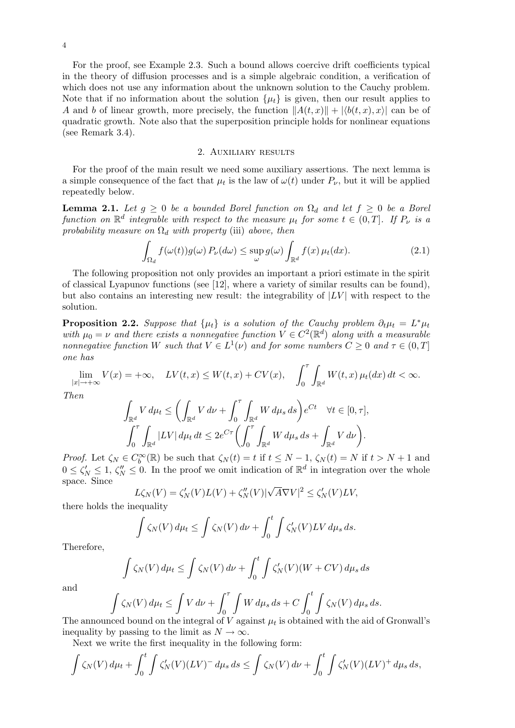For the proof, see Example 2.3. Such a bound allows coercive drift coefficients typical in the theory of diffusion processes and is a simple algebraic condition, a verification of which does not use any information about the unknown solution to the Cauchy problem. Note that if no information about the solution  $\{\mu_t\}$  is given, then our result applies to A and b of linear growth, more precisely, the function  $||A(t, x)|| + |\langle b(t, x), x \rangle|$  can be of quadratic growth. Note also that the superposition principle holds for nonlinear equations (see Remark 3.4).

#### 2. Auxiliary results

For the proof of the main result we need some auxiliary assertions. The next lemma is a simple consequence of the fact that  $\mu_t$  is the law of  $\omega(t)$  under  $P_\nu$ , but it will be applied repeatedly below.

**Lemma 2.1.** Let  $g \geq 0$  be a bounded Borel function on  $\Omega_d$  and let  $f \geq 0$  be a Borel function on  $\mathbb{R}^d$  integrable with respect to the measure  $\mu_t$  for some  $t \in (0,T]$ . If  $P_{\nu}$  is a probability measure on  $\Omega_d$  with property (iii) above, then

$$
\int_{\Omega_d} f(\omega(t)) g(\omega) P_{\nu}(d\omega) \le \sup_{\omega} g(\omega) \int_{\mathbb{R}^d} f(x) \,\mu_t(dx). \tag{2.1}
$$

The following proposition not only provides an important a priori estimate in the spirit of classical Lyapunov functions (see [12], where a variety of similar results can be found), but also contains an interesting new result: the integrability of  $|LV|$  with respect to the solution.

**Proposition 2.2.** Suppose that  $\{\mu_t\}$  is a solution of the Cauchy problem  $\partial_t \mu_t = L^* \mu_t$ with  $\mu_0 = \nu$  and there exists a nonnegative function  $V \in C^2(\mathbb{R}^d)$  along with a measurable nonnegative function W such that  $V \in L^1(\nu)$  and for some numbers  $C \geq 0$  and  $\tau \in (0, T]$ one has

$$
\lim_{|x| \to +\infty} V(x) = +\infty, \quad LV(t, x) \le W(t, x) + CV(x), \quad \int_0^\tau \int_{\mathbb{R}^d} W(t, x) \, \mu_t(dx) \, dt < \infty.
$$

Then

$$
\int_{\mathbb{R}^d} V d\mu_t \le \left( \int_{\mathbb{R}^d} V d\nu + \int_0^{\tau} \int_{\mathbb{R}^d} W d\mu_s ds \right) e^{Ct} \quad \forall t \in [0, \tau],
$$
  

$$
\int_0^{\tau} \int_{\mathbb{R}^d} |LV| d\mu_t dt \le 2e^{C\tau} \left( \int_0^{\tau} \int_{\mathbb{R}^d} W d\mu_s ds + \int_{\mathbb{R}^d} V d\nu \right).
$$

*Proof.* Let  $\zeta_N \in C_b^{\infty}(\mathbb{R})$  be such that  $\zeta_N(t) = t$  if  $t \leq N - 1$ ,  $\zeta_N(t) = N$  if  $t > N + 1$  and  $0 \le \zeta_N' \le 1, \zeta_N'' \le 0$ . In the proof we omit indication of  $\mathbb{R}^d$  in integration over the whole space. Since √

$$
L\zeta_N(V) = \zeta'_N(V)L(V) + \zeta''_N(V)|\sqrt{A}\nabla V|^2 \le \zeta'_N(V)LV,
$$

there holds the inequality

$$
\int \zeta_N(V) d\mu_t \le \int \zeta_N(V) d\nu + \int_0^t \int \zeta'_N(V) LV d\mu_s ds.
$$

Therefore,

$$
\int \zeta_N(V) d\mu_t \le \int \zeta_N(V) d\nu + \int_0^t \int \zeta'_N(V)(W + CV) d\mu_s ds
$$

and

$$
\int \zeta_N(V) d\mu_t \le \int V d\nu + \int_0^\tau \int W d\mu_s ds + C \int_0^t \int \zeta_N(V) d\mu_s ds.
$$
  
and bound on the interval of V against  $\mu$ , is obtained with the side

The announced bound on the integral of  $V$  against  $\mu_t$  is obtained with the aid of Gronwall's inequality by passing to the limit as  $N \to \infty$ .

Next we write the first inequality in the following form:

$$
\int \zeta_N(V) d\mu_t + \int_0^t \int \zeta'_N(V) (LV)^- d\mu_s ds \le \int \zeta_N(V) d\nu + \int_0^t \int \zeta'_N(V) (LV)^+ d\mu_s ds,
$$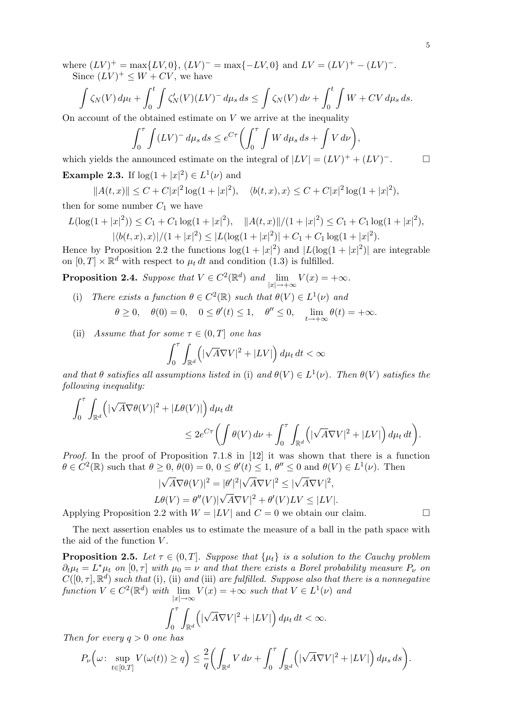where  $(LV)^{+} = \max\{LV,0\}$ ,  $(LV)^{-} = \max\{-LV,0\}$  and  $LV = (LV)^{+} - (LV)^{-}$ . Since  $(LV)^{+} \leq W + CV$ , we have

$$
\int \zeta_N(V) d\mu_t + \int_0^t \int \zeta'_N(V) (LV)^{-} d\mu_s ds \le \int \zeta_N(V) d\nu + \int_0^t \int W + CV d\mu_s ds.
$$
  
According to the obtained estimate on V, we arrive at the inequality

On account of the obtained estimate on  $V$  we arrive at the inequality

$$
\int_0^{\tau} \int (LV)^{-} d\mu_s ds \le e^{C\tau} \left( \int_0^{\tau} \int W d\mu_s ds + \int V d\nu \right),
$$
  
which yields the announced estimate on the integral of  $|LV| = (LV)^{+} + (LV)^{-}$ .

**Example 2.3.** If  $\log(1+|x|^2) \in L^1(\nu)$  and

$$
||A(t,x)|| \le C + C|x|^2 \log(1+|x|^2), \quad \langle b(t,x), x \rangle \le C + C|x|^2 \log(1+|x|^2),
$$

then for some number  $C_1$  we have

$$
L(\log(1+|x|^2)) \le C_1 + C_1 \log(1+|x|^2), \quad ||A(t,x)||/(1+|x|^2) \le C_1 + C_1 \log(1+|x|^2),
$$
  

$$
|\langle b(t,x),x \rangle|/(1+|x|^2) \le |L(\log(1+|x|^2)) + C_1 + C_1 \log(1+|x|^2).
$$

Hence by Proposition 2.2 the functions  $\log(1+|x|^2)$  and  $|L(\log(1+|x|^2))|$  are integrable on  $[0, T] \times \mathbb{R}^d$  with respect to  $\mu_t dt$  and condition (1.3) is fulfilled.

**Proposition 2.4.** Suppose that  $V \in C^2(\mathbb{R}^d)$  and  $\lim_{|x| \to +\infty} V(x) = +\infty$ .

- (i) There exists a function  $\theta \in C^2(\mathbb{R})$  such that  $\theta(V) \in L^1(\nu)$  and
	- $\theta \geq 0$ ,  $\theta(0) = 0$ ,  $0 \leq \theta'(t) \leq 1$ ,  $\theta'' \leq 0$ ,  $\lim_{t \to +\infty} \theta(t) = +\infty$ .
- (ii) Assume that for some  $\tau \in (0, T]$  one has

$$
\int_0^{\tau} \int_{\mathbb{R}^d} \left( |\sqrt{A} \nabla V|^2 + |LV| \right) d\mu_t dt < \infty
$$

and that  $\theta$  satisfies all assumptions listed in (i) and  $\theta(V) \in L^1(\nu)$ . Then  $\theta(V)$  satisfies the following inequality:

$$
\int_0^{\tau} \int_{\mathbb{R}^d} \left( |\sqrt{A} \nabla \theta(V)|^2 + |L \theta(V)| \right) d\mu_t dt
$$
  

$$
\leq 2e^{C\tau} \left( \int \theta(V) \, d\nu + \int_0^{\tau} \int_{\mathbb{R}^d} \left( |\sqrt{A} \nabla V|^2 + |LV| \right) d\mu_t dt \right).
$$

Proof. In the proof of Proposition 7.1.8 in [12] it was shown that there is a function  $\theta \in C^2(\mathbb{R})$  such that  $\theta \geq 0$ ,  $\theta(0) = 0$ ,  $0 \leq \theta'(t) \leq 1$ ,  $\theta'' \leq 0$  and  $\theta(V) \in L^1(\nu)$ . Then

$$
|\sqrt{A}\nabla\theta(V)|^2 = |\theta'|^2 |\sqrt{A}\nabla V|^2 \le |\sqrt{A}\nabla V|^2,
$$
  
\n
$$
L\theta(V) = \theta''(V)|\sqrt{A}\nabla V|^2 + \theta'(V)LV \le |LV|.
$$
  
\nApplying Proposition 2.2 with  $W = |LV|$  and  $C = 0$  we obtain our claim.

The next assertion enables us to estimate the measure of a ball in the path space with the aid of the function  $V$ .

**Proposition 2.5.** Let  $\tau \in (0, T]$ . Suppose that  $\{\mu_t\}$  is a solution to the Cauchy problem  $\partial_t \mu_t = L^* \mu_t$  on  $[0, \tau]$  with  $\mu_0 = \nu$  and that there exists a Borel probability measure  $P_{\nu}$  on  $C([0,\tau],\mathbb{R}^d)$  such that (i), (ii) and (iii) are fulfilled. Suppose also that there is a nonnegative function  $V \in C^2(\mathbb{R}^d)$  with  $\lim_{|x| \to \infty} V(x) = +\infty$  such that  $V \in L^1(\nu)$  and

$$
\int_0^{\tau} \int_{\mathbb{R}^d} \left( |\sqrt{A} \nabla V|^2 + |LV| \right) d\mu_t dt < \infty.
$$

Then for every  $q > 0$  one has

$$
P_{\nu}\Big(\omega\colon \sup_{t\in[0,T]}V(\omega(t))\geq q\Big)\leq\frac{2}{q}\bigg(\int_{\mathbb{R}^d}V\,d\nu+\int_0^\tau\int_{\mathbb{R}^d}\Big(|\sqrt{A}\nabla V|^2+|LV|\Big)\,d\mu_s\,ds\bigg).
$$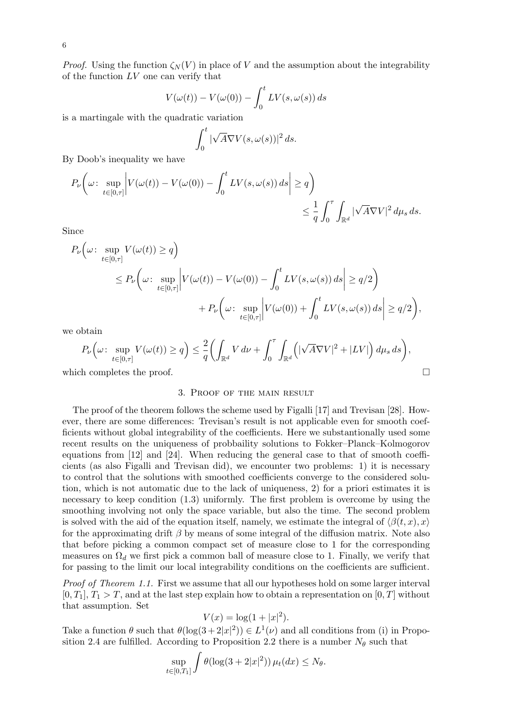*Proof.* Using the function  $\zeta_N(V)$  in place of V and the assumption about the integrability of the function  $LV$  one can verify that

$$
V(\omega(t)) - V(\omega(0)) - \int_0^t LV(s, \omega(s)) ds
$$

is a martingale with the quadratic variation

$$
\int_0^t |\sqrt{A}\nabla V(s,\omega(s))|^2 ds.
$$

By Doob's inequality we have

$$
P_{\nu}\bigg(\omega \colon \sup_{t \in [0,\tau]} \bigg| V(\omega(t)) - V(\omega(0)) - \int_0^t LV(s, \omega(s)) \, ds \bigg| \ge q \bigg) \le \frac{1}{q} \int_0^{\tau} \int_{\mathbb{R}^d} |\sqrt{A} \nabla V|^2 \, d\mu_s \, ds.
$$

Since

$$
P_{\nu}\left(\omega: \sup_{t\in[0,\tau]} V(\omega(t)) \geq q\right)
$$
  
\n
$$
\leq P_{\nu}\left(\omega: \sup_{t\in[0,\tau]} \left|V(\omega(t)) - V(\omega(0)) - \int_0^t LV(s, \omega(s)) ds\right| \geq q/2\right)
$$
  
\n
$$
+ P_{\nu}\left(\omega: \sup_{t\in[0,\tau]} \left|V(\omega(0)) + \int_0^t LV(s, \omega(s)) ds\right| \geq q/2\right),
$$

we obtain

$$
P_{\nu}\Big(\omega\colon \sup_{t\in[0,\tau]}V(\omega(t))\geq q\Big)\leq\frac{2}{q}\bigg(\int_{\mathbb{R}^d}V\,d\nu+\int_0^\tau\int_{\mathbb{R}^d}\Big(|\sqrt{A}\nabla V|^2+|LV|\Big)\,d\mu_s\,ds\bigg),
$$

which completes the proof.  $\Box$ 

#### 3. Proof of the main result

The proof of the theorem follows the scheme used by Figalli [17] and Trevisan [28]. However, there are some differences: Trevisan's result is not applicable even for smooth coefficients without global integrability of the coefficients. Here we substantionally used some recent results on the uniqueness of probbaility solutions to Fokker–Planck–Kolmogorov equations from [12] and [24]. When reducing the general case to that of smooth coefficients (as also Figalli and Trevisan did), we encounter two problems: 1) it is necessary to control that the solutions with smoothed coefficients converge to the considered solution, which is not automatic due to the lack of uniqueness, 2) for a priori estimates it is necessary to keep condition (1.3) uniformly. The first problem is overcome by using the smoothing involving not only the space variable, but also the time. The second problem is solved with the aid of the equation itself, namely, we estimate the integral of  $\langle \beta(t, x), x \rangle$ for the approximating drift  $\beta$  by means of some integral of the diffusion matrix. Note also that before picking a common compact set of measure close to 1 for the corresponding measures on  $\Omega_d$  we first pick a common ball of measure close to 1. Finally, we verify that for passing to the limit our local integrability conditions on the coefficients are sufficient.

Proof of Theorem 1.1. First we assume that all our hypotheses hold on some larger interval  $[0, T_1], T_1 > T$ , and at the last step explain how to obtain a representation on  $[0, T]$  without that assumption. Set

$$
V(x) = \log(1 + |x|^2).
$$

Take a function  $\theta$  such that  $\theta(\log(3+2|x|^2)) \in L^1(\nu)$  and all conditions from (i) in Proposition 2.4 are fulfilled. According to Proposition 2.2 there is a number  $N_{\theta}$  such that

$$
\sup_{t\in[0,T_1]}\int \theta(\log(3+2|x|^2))\,\mu_t(dx)\leq N_\theta.
$$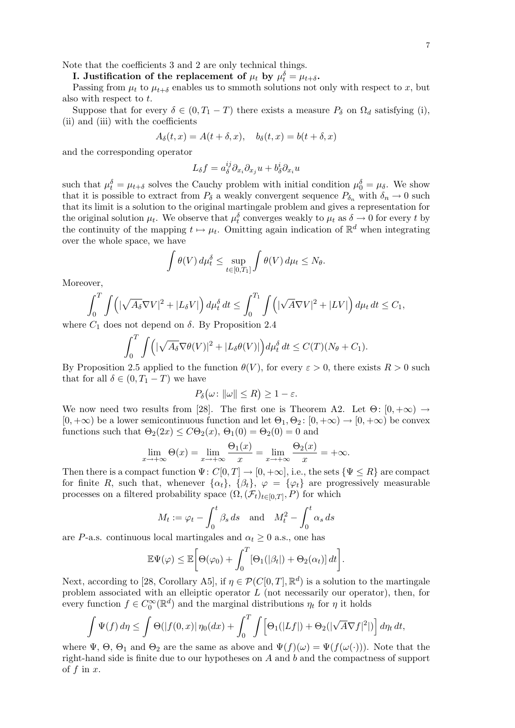Note that the coefficients 3 and 2 are only technical things.

I. Justification of the replacement of  $\mu_t$  by  $\mu_t^{\delta} = \mu_{t+\delta}$ .

Passing from  $\mu_t$  to  $\mu_{t+\delta}$  enables us to smmoth solutions not only with respect to x, but also with respect to t.

Suppose that for every  $\delta \in (0, T_1 - T)$  there exists a measure  $P_\delta$  on  $\Omega_d$  satisfying (i), (ii) and (iii) with the coefficients

$$
A_{\delta}(t,x) = A(t+\delta,x), \quad b_{\delta}(t,x) = b(t+\delta,x)
$$

and the corresponding operator

$$
L_{\delta}f = a_{\delta}^{ij}\partial_{x_i}\partial_{x_j}u + b_{\delta}^i\partial_{x_i}u
$$

such that  $\mu_t^{\delta} = \mu_{t+\delta}$  solves the Cauchy problem with initial condition  $\mu_0^{\delta} = \mu_{\delta}$ . We show that it is possible to extract from  $P_\delta$  a weakly convergent sequence  $P_{\delta_n}$  with  $\delta_n \to 0$  such that its limit is a solution to the original martingale problem and gives a representation for the original solution  $\mu_t$ . We observe that  $\mu_t^{\delta}$  converges weakly to  $\mu_t$  as  $\delta \to 0$  for every t by the continuity of the mapping  $t \mapsto \mu_t$ . Omitting again indication of  $\mathbb{R}^d$  when integrating over the whole space, we have

$$
\int \theta(V) d\mu_t^{\delta} \le \sup_{t \in [0,T_1]} \int \theta(V) d\mu_t \le N_{\theta}.
$$

Moreover,

$$
\int_0^T \int \left( |\sqrt{A_\delta} \nabla V|^2 + |L_\delta V| \right) d\mu_t^\delta dt \le \int_0^{T_1} \int \left( |\sqrt{A} \nabla V|^2 + |LV| \right) d\mu_t dt \le C_1,
$$
  
Case not depend on  $\delta$ . By Proposition 2.4

where  $C_1$  does not depend on  $\delta$ . By Proposition 2.4

$$
\int_0^T \int \Big( |\sqrt{A_\delta} \nabla \theta(V)|^2 + |L_\delta \theta(V)| \Big) d\mu_t^\delta dt \le C(T)(N_\theta + C_1).
$$

By Proposition 2.5 applied to the function  $\theta(V)$ , for every  $\varepsilon > 0$ , there exists  $R > 0$  such that for all  $\delta \in (0, T_1 - T)$  we have

$$
P_{\delta}\big(\omega \colon \|\omega\| \le R\big) \ge 1 - \varepsilon.
$$

We now need two results from [28]. The first one is Theorem A2. Let  $\Theta$ :  $[0, +\infty) \rightarrow$  $[0, +\infty)$  be a lower semicontinuous function and let  $\Theta_1, \Theta_2$ :  $[0, +\infty) \to [0, +\infty)$  be convex functions such that  $\Theta_2(2x) \leq C\Theta_2(x)$ ,  $\Theta_1(0) = \Theta_2(0) = 0$  and

$$
\lim_{x \to +\infty} \Theta(x) = \lim_{x \to +\infty} \frac{\Theta_1(x)}{x} = \lim_{x \to +\infty} \frac{\Theta_2(x)}{x} = +\infty.
$$

Then there is a compact function  $\Psi: C[0, T] \to [0, +\infty]$ , i.e., the sets  $\{\Psi \leq R\}$  are compact for finite R, such that, whenever  $\{\alpha_t\}$ ,  $\{\beta_t\}$ ,  $\varphi = \{\varphi_t\}$  are progressively measurable processes on a filtered probability space  $(\Omega, (\mathcal{F}_t)_{t\in[0,T]}, P)$  for which

$$
M_t := \varphi_t - \int_0^t \beta_s \, ds \quad \text{and} \quad M_t^2 - \int_0^t \alpha_s \, ds
$$

are P-a.s. continuous local martingales and  $\alpha_t \geq 0$  a.s., one has

$$
\mathbb{E}\Psi(\varphi)\leq \mathbb{E}\bigg[\Theta(\varphi_0)+\int_0^T[\Theta_1(|\beta_t|)+\Theta_2(\alpha_t)] dt\bigg].
$$

Next, according to [28, Corollary A5], if  $\eta \in \mathcal{P}(C[0,T], \mathbb{R}^d)$  is a solution to the martingale problem associated with an elleiptic operator  $L$  (not necessarily our operator), then, for every function  $f \in C_0^{\infty}(\mathbb{R}^d)$  and the marginal distributions  $\eta_t$  for  $\eta$  it holds

$$
\int \Psi(f) d\eta \le \int \Theta(|f(0,x)| \eta_0(dx) + \int_0^T \int \left[\Theta_1(|Lf|) + \Theta_2(|\sqrt{A}\nabla f|^2|)\right] d\eta_t dt,
$$

where  $\Psi$ ,  $\Theta$ ,  $\Theta_1$  and  $\Theta_2$  are the same as above and  $\Psi(f)(\omega) = \Psi(f(\omega(\cdot)))$ . Note that the right-hand side is finite due to our hypotheses on A and b and the compactness of support of  $f$  in  $x$ .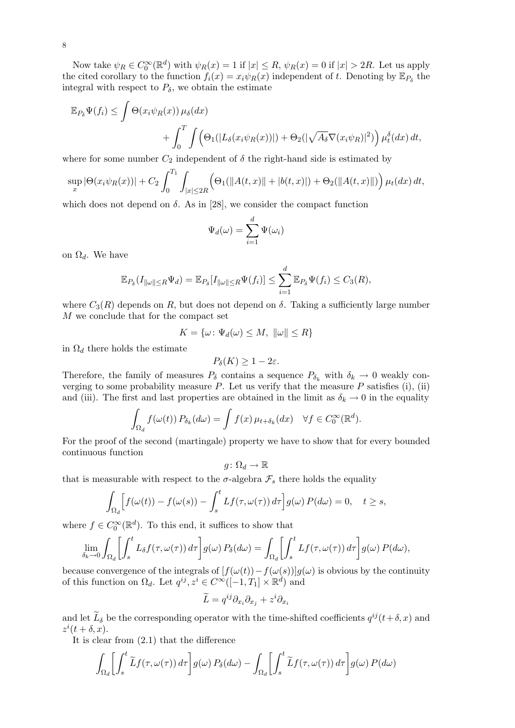Now take  $\psi_R \in C_0^{\infty}(\mathbb{R}^d)$  with  $\psi_R(x) = 1$  if  $|x| \le R$ ,  $\psi_R(x) = 0$  if  $|x| > 2R$ . Let us apply the cited corollary to the function  $f_i(x) = x_i \psi_R(x)$  independent of t. Denoting by  $\mathbb{E}_{P_\delta}$  the integral with respect to  $P_\delta$ , we obtain the estimate

$$
\mathbb{E}_{P_{\delta}}\Psi(f_{i}) \leq \int \Theta(x_{i}\psi_{R}(x))\,\mu_{\delta}(dx) + \int_{0}^{T} \int \Big(\Theta_{1}(|L_{\delta}(x_{i}\psi_{R}(x))|) + \Theta_{2}(|\sqrt{A_{\delta}}\nabla(x_{i}\psi_{R})|^{2})\Big)\,\mu_{t}^{\delta}(dx)\,dt,
$$

where for some number  $C_2$  independent of  $\delta$  the right-hand side is estimated by

$$
\sup_x |\Theta(x_i \psi_R(x))| + C_2 \int_0^{T_1} \int_{|x| \le 2R} \Big(\Theta_1(||A(t,x)|| + |b(t,x)|) + \Theta_2(||A(t,x)||)\Big) \,\mu_t(dx) \, dt,
$$

which does not depend on  $\delta$ . As in [28], we consider the compact function

$$
\Psi_d(\omega) = \sum_{i=1}^d \Psi(\omega_i)
$$

on  $\Omega_d$ . We have

$$
\mathbb{E}_{P_{\delta}}(I_{\|\omega\|\leq R}\Psi_d)=\mathbb{E}_{P_{\delta}}[I_{\|\omega\|\leq R}\Psi(f_i)]\leq \sum_{i=1}^d\mathbb{E}_{P_{\delta}}\Psi(f_i)\leq C_3(R),
$$

where  $C_3(R)$  depends on R, but does not depend on  $\delta$ . Taking a sufficiently large number M we conclude that for the compact set

$$
K = \{ \omega \colon \Psi_d(\omega) \le M, \ \|\omega\| \le R \}
$$

in  $\Omega_d$  there holds the estimate

$$
P_{\delta}(K) \geq 1 - 2\varepsilon.
$$

Therefore, the family of measures  $P_\delta$  contains a sequence  $P_{\delta_k}$  with  $\delta_k \to 0$  weakly converging to some probability measure  $P$ . Let us verify that the measure  $P$  satisfies (i), (ii) and (iii). The first and last properties are obtained in the limit as  $\delta_k \to 0$  in the equality

$$
\int_{\Omega_d} f(\omega(t)) P_{\delta_k}(d\omega) = \int f(x) \,\mu_{t+\delta_k}(dx) \quad \forall f \in C_0^{\infty}(\mathbb{R}^d).
$$

For the proof of the second (martingale) property we have to show that for every bounded continuous function

$$
g\colon \Omega_d\to \mathbb{R}
$$

that is measurable with respect to the  $\sigma$ -algebra  $\mathcal{F}_s$  there holds the equality

$$
\int_{\Omega_d} \Big[ f(\omega(t)) - f(\omega(s)) - \int_s^t Lf(\tau, \omega(\tau)) d\tau \Big] g(\omega) P(d\omega) = 0, \quad t \ge s,
$$

where  $f \in C_0^{\infty}(\mathbb{R}^d)$ . To this end, it suffices to show that

$$
\lim_{\delta_k \to 0} \int_{\Omega_d} \left[ \int_s^t L_\delta f(\tau, \omega(\tau)) d\tau \right] g(\omega) P_\delta(d\omega) = \int_{\Omega_d} \left[ \int_s^t L f(\tau, \omega(\tau)) d\tau \right] g(\omega) P(d\omega),
$$

because convergence of the integrals of  $[f(\omega(t))-f(\omega(s))]g(\omega)$  is obvious by the continuity of this function on  $\Omega_d$ . Let  $q^{ij}, z^i \in C^\infty([-1, T_1] \times \mathbb{R}^d)$  and

$$
\widetilde{L} = q^{ij}\partial_{x_i}\partial_{x_j} + z^i\partial_{x_i}
$$

and let  $\tilde{L}_{\delta}$  be the corresponding operator with the time-shifted coefficients  $q^{ij}(t+\delta, x)$  and  $z^i(t+\delta,x).$ 

It is clear from (2.1) that the difference

$$
\int_{\Omega_d} \left[ \int_s^t \widetilde{L} f(\tau, \omega(\tau)) d\tau \right] g(\omega) P_\delta(d\omega) - \int_{\Omega_d} \left[ \int_s^t \widetilde{L} f(\tau, \omega(\tau)) d\tau \right] g(\omega) P(d\omega)
$$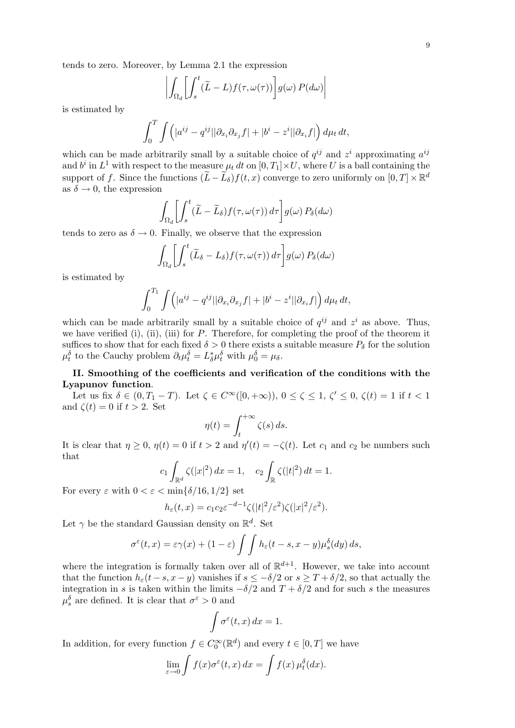tends to zero. Moreover, by Lemma 2.1 the expression

$$
\left| \int_{\Omega_d} \left[ \int_s^t (\widetilde{L} - L) f(\tau, \omega(\tau)) \right] g(\omega) P(d\omega) \right|
$$

is estimated by

$$
\int_0^T \int \Big(|a^{ij} - q^{ij}| |\partial_{x_i}\partial_{x_j} f| + |b^i - z^i| |\partial_{x_i} f|\Big) d\mu_t dt,
$$

which can be made arbitrarily small by a suitable choice of  $q^{ij}$  and  $z^i$  approximating  $a^{ij}$ and  $b^i$  in  $L^1$  with respect to the measure  $\mu_t dt$  on  $[0, T_1] \times U$ , where U is a ball containing the support of f. Since the functions  $(\widetilde{L} - \widetilde{L}_{\delta}) f(t, x)$  converge to zero uniformly on  $[0, T] \times \mathbb{R}^d$ as  $\delta \rightarrow 0$ , the expression

$$
\int_{\Omega_d} \left[ \int_s^t (\widetilde{L} - \widetilde{L}_{\delta}) f(\tau, \omega(\tau)) d\tau \right] g(\omega) P_{\delta}(d\omega)
$$

tends to zero as  $\delta \to 0$ . Finally, we observe that the expression

$$
\int_{\Omega_d} \left[ \int_s^t (\widetilde{L}_{\delta} - L_{\delta}) f(\tau, \omega(\tau)) d\tau \right] g(\omega) P_{\delta}(d\omega)
$$

is estimated by

$$
\int_0^{T_1} \int \Bigl( |a^{ij} - q^{ij}| |\partial_{x_i}\partial_{x_j} f| + |b^i - z^i| |\partial_{x_i} f| \Bigr) d\mu_t dt,
$$

which can be made arbitrarily small by a suitable choice of  $q^{ij}$  and  $z^i$  as above. Thus, we have verified (i), (ii), (iii) for  $P$ . Therefore, for completing the proof of the theorem it suffices to show that for each fixed  $\delta > 0$  there exists a suitable measure  $P_{\delta}$  for the solution  $\mu_t^{\delta}$  to the Cauchy problem  $\partial_t \mu_t^{\delta} = L_{\delta}^* \mu_t^{\delta}$  with  $\mu_0^{\delta} = \mu_{\delta}$ .

# II. Smoothing of the coefficients and verification of the conditions with the Lyapunov function.

Let us fix  $\delta \in (0, T_1 - T)$ . Let  $\zeta \in C^{\infty}([0, +\infty))$ ,  $0 \le \zeta \le 1$ ,  $\zeta' \le 0$ ,  $\zeta(t) = 1$  if  $t < 1$ and  $\zeta(t) = 0$  if  $t > 2$ . Set

$$
\eta(t) = \int_{t}^{+\infty} \zeta(s) \, ds.
$$

It is clear that  $\eta \geq 0$ ,  $\eta(t) = 0$  if  $t > 2$  and  $\eta'(t) = -\zeta(t)$ . Let  $c_1$  and  $c_2$  be numbers such that

$$
c_1 \int_{\mathbb{R}^d} \zeta(|x|^2) \, dx = 1, \quad c_2 \int_{\mathbb{R}} \zeta(|t|^2) \, dt = 1.
$$

For every  $\varepsilon$  with  $0 < \varepsilon < \min\{\delta/16, 1/2\}$  set

$$
h_{\varepsilon}(t,x) = c_1 c_2 \varepsilon^{-d-1} \zeta(|t|^2/\varepsilon^2) \zeta(|x|^2/\varepsilon^2).
$$

Let  $\gamma$  be the standard Gaussian density on  $\mathbb{R}^d$ . Set

$$
\sigma^{\varepsilon}(t,x)=\varepsilon\gamma(x)+(1-\varepsilon)\int\int h_{\varepsilon}(t-s,x-y)\mu^{\delta}_s(dy)\,ds,
$$

where the integration is formally taken over all of  $\mathbb{R}^{d+1}$ . However, we take into account that the function  $h_{\varepsilon}(t-s, x-y)$  vanishes if  $s \leq -\delta/2$  or  $s \geq T + \delta/2$ , so that actually the integration in s is taken within the limits  $-\delta/2$  and  $T + \delta/2$  and for such s the measures  $\mu_s^{\delta}$  are defined. It is clear that  $\sigma^{\varepsilon} > 0$  and

$$
\int \sigma^{\varepsilon}(t,x) dx = 1.
$$

In addition, for every function  $f \in C_0^{\infty}(\mathbb{R}^d)$  and every  $t \in [0, T]$  we have

$$
\lim_{\varepsilon \to 0} \int f(x) \sigma^{\varepsilon}(t, x) dx = \int f(x) \mu_t^{\delta}(dx).
$$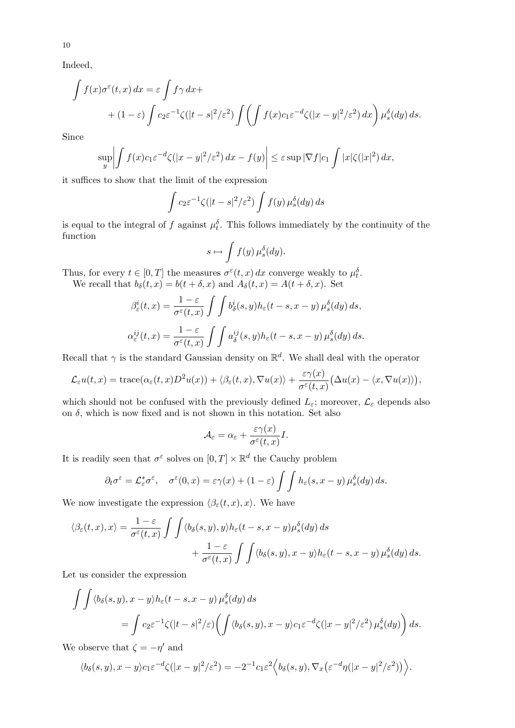Indeed,

$$
\int f(x)\sigma^{\varepsilon}(t,x) dx = \varepsilon \int f\gamma dx +
$$
  
+ 
$$
(1-\varepsilon) \int c_2 \varepsilon^{-1} \zeta(|t-s|^2/\varepsilon^2) \int \left( \int f(x)c_1 \varepsilon^{-d} \zeta(|x-y|^2/\varepsilon^2) dx \right) \mu_s^{\delta}(dy) ds.
$$

Since

$$
\sup_{y} \left| \int f(x)c_1 \varepsilon^{-d} \zeta(|x-y|^2/\varepsilon^2) dx - f(y) \right| \leq \varepsilon \sup |\nabla f| c_1 \int |x| \zeta(|x|^2) dx,
$$

it suffices to show that the limit of the expression

$$
\int c_2 \varepsilon^{-1} \zeta(|t-s|^2/\varepsilon^2) \int f(y) \,\mu_s^{\delta}(dy) \, ds
$$

is equal to the integral of f against  $\mu_t^{\delta}$ . This follows immediately by the continuity of the function

$$
s \mapsto \int f(y) \,\mu_s^{\delta}(dy).
$$

Thus, for every  $t \in [0, T]$  the measures  $\sigma^{\varepsilon}(t, x) dx$  converge weakly to  $\mu_t^{\delta}$ . We recall that  $b_{\delta}(t, x) = b(t + \delta, x)$  and  $A_{\delta}(t, x) = A(t + \delta, x)$ . Set

$$
\beta_{\varepsilon}^{i}(t,x) = \frac{1-\varepsilon}{\sigma^{\varepsilon}(t,x)} \int \int b_{\delta}^{i}(s,y) h_{\varepsilon}(t-s,x-y) \,\mu_{s}^{\delta}(dy) \, ds,
$$

$$
\alpha_{\varepsilon}^{ij}(t,x) = \frac{1-\varepsilon}{\sigma^{\varepsilon}(t,x)} \int \int a_{\delta}^{ij}(s,y) h_{\varepsilon}(t-s,x-y) \,\mu_{s}^{\delta}(dy) \, ds.
$$

Recall that  $\gamma$  is the standard Gaussian density on  $\mathbb{R}^d$ . We shall deal with the operator

$$
\mathcal{L}_{\varepsilon}u(t,x) = \text{trace}(\alpha_{\varepsilon}(t,x)D^2u(x)) + \langle \beta_{\varepsilon}(t,x), \nabla u(x) \rangle + \frac{\varepsilon \gamma(x)}{\sigma^{\varepsilon}(t,x)} \big(\Delta u(x) - \langle x, \nabla u(x) \rangle \big),
$$

which should not be confused with the previously defined  $L_{\varepsilon}$ ; moreover,  $\mathcal{L}_{\varepsilon}$  depends also on  $\delta$ , which is now fixed and is not shown in this notation. Set also

$$
\mathcal{A}_\varepsilon = \alpha_\varepsilon + \frac{\varepsilon \gamma(x)}{\sigma^\varepsilon(t,x)} I.
$$

It is readily seen that  $\sigma^{\varepsilon}$  solves on  $[0, T] \times \mathbb{R}^d$  the Cauchy problem

$$
\partial_t \sigma^\varepsilon = \mathcal{L}_\varepsilon^* \sigma^\varepsilon, \quad \sigma^\varepsilon(0, x) = \varepsilon \gamma(x) + (1 - \varepsilon) \int \int h_\varepsilon(s, x - y) \,\mu_s^\delta(dy) \, ds.
$$

We now investigate the expression  $\langle \beta_{\varepsilon}(t, x), x \rangle$ . We have

$$
\langle \beta_{\varepsilon}(t,x),x \rangle = \frac{1-\varepsilon}{\sigma^{\varepsilon}(t,x)} \int \int \langle b_{\delta}(s,y),y \rangle h_{\varepsilon}(t-s,x-y) \mu^{\delta}_{s}(dy) ds + \frac{1-\varepsilon}{\sigma^{\varepsilon}(t,x)} \int \int \langle b_{\delta}(s,y),x-y \rangle h_{\varepsilon}(t-s,x-y) \mu^{\delta}_{s}(dy) ds.
$$

Let us consider the expression

$$
\int \int \langle b_{\delta}(s, y), x - y \rangle h_{\varepsilon}(t - s, x - y) \mu_{s}^{\delta}(dy) ds
$$
  
= 
$$
\int c_{2} \varepsilon^{-1} \zeta(|t - s|^{2}/\varepsilon) \left( \int \langle b_{\delta}(s, y), x - y \rangle c_{1} \varepsilon^{-d} \zeta(|x - y|^{2}/\varepsilon^{2}) \mu_{s}^{\delta}(dy) \right) ds.
$$

We observe that  $\zeta = -\eta'$  and

$$
\langle b_{\delta}(s,y), x-y\rangle c_{1}\varepsilon^{-d}\zeta(|x-y|^{2}/\varepsilon^{2})=-2^{-1}c_{1}\varepsilon^{2}\Big\langle b_{\delta}(s,y), \nabla_{x}\big(\varepsilon^{-d}\eta(|x-y|^{2}/\varepsilon^{2})\big)\Big\rangle.
$$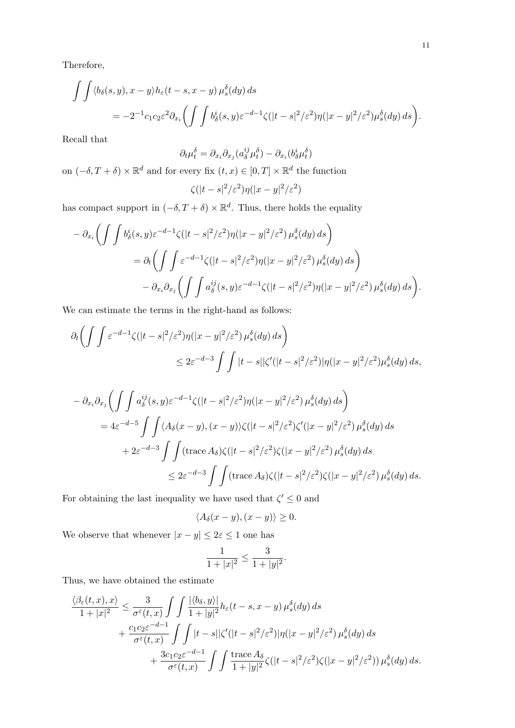$$
\int \int \langle b_{\delta}(s, y), x - y \rangle h_{\varepsilon}(t - s, x - y) \mu_{s}^{\delta}(dy) ds
$$
  
= 
$$
-2^{-1} c_{1} c_{2} \varepsilon^{2} \partial_{x_{i}} \left( \int \int b_{\delta}^{i}(s, y) \varepsilon^{-d-1} \zeta(|t - s|^{2} / \varepsilon^{2}) \eta(|x - y|^{2} / \varepsilon^{2}) \mu_{s}^{\delta}(dy) ds \right).
$$

Recall that

$$
\partial_t \mu_t^{\delta} = \partial_{x_i} \partial_{x_j} (a_{\delta}^{ij} \mu_t^{\delta}) - \partial_{x_i} (b_{\delta}^i \mu_t^{\delta})
$$

on  $(-\delta, T + \delta) \times \mathbb{R}^d$  and for every fix  $(t, x) \in [0, T] \times \mathbb{R}^d$  the function

$$
\zeta(|t-s|^2/\varepsilon^2)\eta(|x-y|^2/\varepsilon^2)
$$

has compact support in  $(-\delta, T + \delta) \times \mathbb{R}^d$ . Thus, there holds the equality

$$
- \partial_{x_i} \left( \int \int b_\delta^i(s, y) \varepsilon^{-d-1} \zeta(|t - s|^2 / \varepsilon^2) \eta(|x - y|^2 / \varepsilon^2) \mu_s^\delta(dy) ds \right)
$$
  

$$
= \partial_t \left( \int \int \varepsilon^{-d-1} \zeta(|t - s|^2 / \varepsilon^2) \eta(|x - y|^2 / \varepsilon^2) \mu_s^\delta(dy) ds \right)
$$
  

$$
- \partial_{x_i} \partial_{x_j} \left( \int \int a_\delta^{ij}(s, y) \varepsilon^{-d-1} \zeta(|t - s|^2 / \varepsilon^2) \eta(|x - y|^2 / \varepsilon^2) \mu_s^\delta(dy) ds \right).
$$

We can estimate the terms in the right-hand as follows:

$$
\partial_t \left( \int \int \varepsilon^{-d-1} \zeta(|t-s|^2/\varepsilon^2) \eta(|x-y|^2/\varepsilon^2) \mu_s^{\delta}(dy) ds \right)
$$
  

$$
\leq 2\varepsilon^{-d-3} \int \int |t-s| |\zeta'(|t-s|^2/\varepsilon^2) |\eta(|x-y|^2/\varepsilon^2) \mu_s^{\delta}(dy) ds,
$$

$$
- \partial_{x_i} \partial_{x_j} \left( \int \int a_\delta^{ij}(s, y) \varepsilon^{-d-1} \zeta(|t-s|^2/\varepsilon^2) \eta(|x-y|^2/\varepsilon^2) \mu_s^{\delta}(dy) ds \right)
$$
  
\n
$$
= 4\varepsilon^{-d-5} \int \int \langle A_\delta(x-y), (x-y) \rangle \zeta(|t-s|^2/\varepsilon^2) \zeta'(|x-y|^2/\varepsilon^2) \mu_s^{\delta}(dy) ds
$$
  
\n
$$
+ 2\varepsilon^{-d-3} \int \int (\text{trace } A_\delta) \zeta(|t-s|^2/\varepsilon^2) \zeta(|x-y|^2/\varepsilon^2) \mu_s^{\delta}(dy) ds
$$
  
\n
$$
\leq 2\varepsilon^{-d-3} \int \int (\text{trace } A_\delta) \zeta(|t-s|^2/\varepsilon^2) \zeta(|x-y|^2/\varepsilon^2) \mu_s^{\delta}(dy) ds.
$$

For obtaining the last inequality we have used that  $\zeta' \leq 0$  and

$$
\langle A_{\delta}(x-y), (x-y)\rangle \ge 0.
$$

We observe that whenever  $|x-y|\leq 2\varepsilon\leq 1$  one has

$$
\frac{1}{1+|x|^2} \le \frac{3}{1+|y|^2}.
$$

Thus, we have obtained the estimate

$$
\frac{\langle \beta_{\varepsilon}(t,x),x\rangle}{1+|x|^2} \leq \frac{3}{\sigma^{\varepsilon}(t,x)}\int\int \frac{|\langle b_{\delta},y\rangle|}{1+|y|^2}h_{\varepsilon}(t-s,x-y)\,\mu^{\delta}_{s}(dy)\,ds \n+ \frac{c_{1}c_{2}\varepsilon^{-d-1}}{\sigma^{\varepsilon}(t,x)}\int\int|t-s| |\zeta'(|t-s|^{2}/\varepsilon^{2})|\eta(|x-y|^{2}/\varepsilon^{2})\,\mu^{\delta}_{s}(dy)\,ds \n+ \frac{3c_{1}c_{2}\varepsilon^{-d-1}}{\sigma^{\varepsilon}(t,x)}\int\int \frac{\mathrm{trace}\,A_{\delta}}{1+|y|^{2}}\zeta(|t-s|^{2}/\varepsilon^{2})\zeta(|x-y|^{2}/\varepsilon^{2}))\,\mu^{\delta}_{s}(dy)\,ds.
$$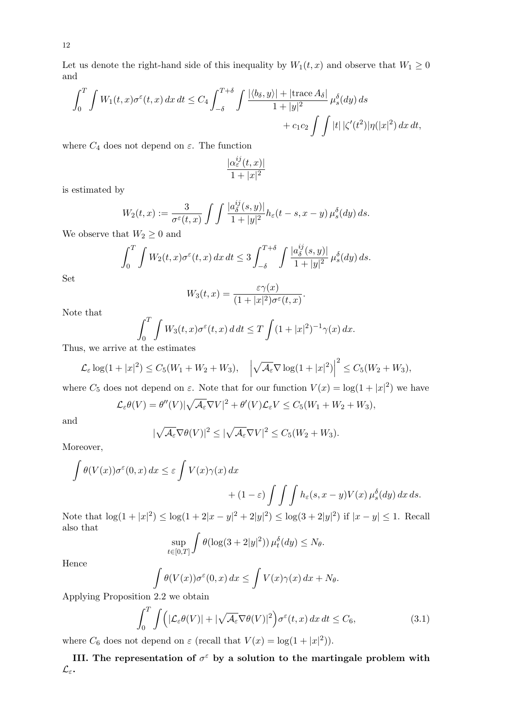12

Let us denote the right-hand side of this inequality by  $W_1(t, x)$  and observe that  $W_1 \geq 0$ and

$$
\int_0^T \int W_1(t,x)\sigma^{\varepsilon}(t,x) dx dt \le C_4 \int_{-\delta}^{T+\delta} \int \frac{|\langle b_\delta, y \rangle| + |\text{trace } A_\delta|}{1 + |y|^2} \mu_s^{\delta}(dy) ds
$$
  
+  $c_1 c_2 \int \int |t| |\zeta'(t^2)| \eta(|x|^2) dx dt$ ,

where  $C_4$  does not depend on  $\varepsilon$ . The function

$$
\frac{|\alpha_\varepsilon^{ij}(t,x)|}{1+|x|^2}
$$

is estimated by

$$
W_2(t,x) := \frac{3}{\sigma^{\varepsilon}(t,x)} \int \int \frac{|a_{\delta}^{ij}(s,y)|}{1+|y|^2} h_{\varepsilon}(t-s,x-y) \,\mu_{s}^{\delta}(dy) \,ds.
$$

We observe that  $W_2 \geq 0$  and

$$
\int_0^T \int W_2(t,x)\sigma^{\varepsilon}(t,x) dx dt \leq 3 \int_{-\delta}^{T+\delta} \int \frac{|a_{\delta}^{ij}(s,y)|}{1+|y|^2} \mu_{s}^{\delta}(dy) ds.
$$

Set

$$
W_3(t,x) = \frac{\varepsilon \gamma(x)}{(1+|x|^2)\sigma^{\varepsilon}(t,x)}.
$$

Note that

$$
\int_0^T \int W_3(t,x)\sigma^{\varepsilon}(t,x) \, d\,dt \le T \int (1+|x|^2)^{-1} \gamma(x) \, dx.
$$

Thus, we arrive at the estimates

$$
\mathcal{L}_{\varepsilon} \log(1+|x|^2) \leq C_5(W_1+W_2+W_3), \quad \left|\sqrt{\mathcal{A}_{\varepsilon}} \nabla \log(1+|x|^2)\right|^2 \leq C_5(W_2+W_3),
$$

where  $C_5$  does not depend on  $\varepsilon$ . Note that for our function  $V(x) = \log(1 + |x|^2)$  we have

$$
\mathcal{L}_{\varepsilon}\theta(V) = \theta''(V)|\sqrt{\mathcal{A}_{\varepsilon}}\nabla V|^2 + \theta'(V)\mathcal{L}_{\varepsilon}V \le C_5(W_1 + W_2 + W_3),
$$

and

$$
|\sqrt{\mathcal{A}_{\varepsilon}}\nabla\theta(V)|^2 \le |\sqrt{\mathcal{A}_{\varepsilon}}\nabla V|^2 \le C_5(W_2 + W_3).
$$

Moreover,

$$
\int \theta(V(x))\sigma^{\varepsilon}(0,x) dx \leq \varepsilon \int V(x)\gamma(x) dx + (1-\varepsilon) \int \int \int h_{\varepsilon}(s,x-y)V(x) \mu^{\delta}_{s}(dy) dx ds.
$$

Note that  $\log(1+|x|^2) \leq \log(1+2|x-y|^2+2|y|^2) \leq \log(3+2|y|^2)$  if  $|x-y| \leq 1$ . Recall also that

$$
\sup_{t \in [0,T]} \int \theta(\log(3+2|y|^2)) \,\mu_t^{\delta}(dy) \le N_\theta.
$$

Hence

$$
\int \theta(V(x))\sigma^{\varepsilon}(0,x) dx \le \int V(x)\gamma(x) dx + N_{\theta}.
$$

Applying Proposition 2.2 we obtain

$$
\int_0^T \int \left( |\mathcal{L}_{\varepsilon} \theta(V)| + |\sqrt{\mathcal{A}_{\varepsilon}} \nabla \theta(V)|^2 \right) \sigma^{\varepsilon}(t, x) dx dt \le C_6,
$$
\n(3.1)

where  $C_6$  does not depend on  $\varepsilon$  (recall that  $V(x) = \log(1+|x|^2)$ ).

III. The representation of  $\sigma^{\varepsilon}$  by a solution to the martingale problem with  $\mathcal{L}_\varepsilon$ .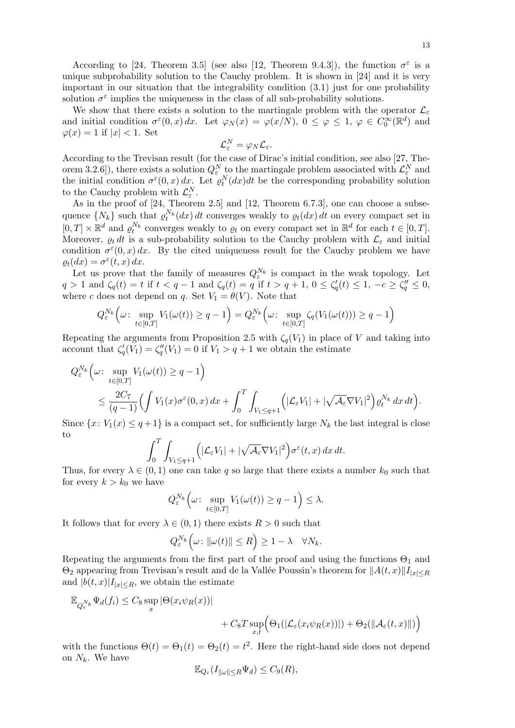According to [24, Theorem 3.5] (see also [12, Theorem 9.4.3]), the function  $\sigma^{\varepsilon}$  is a unique subprobability solution to the Cauchy problem. It is shown in [24] and it is very important in our situation that the integrability condition (3.1) just for one probability solution  $\sigma^{\varepsilon}$  implies the uniqueness in the class of all sub-probability solutions.

We show that there exists a solution to the martingale problem with the operator  $\mathcal{L}_{\varepsilon}$ and initial condition  $\sigma^{\varepsilon}(0, x) dx$ . Let  $\varphi_N(x) = \varphi(x/N)$ ,  $0 \le \varphi \le 1$ ,  $\varphi \in C_0^{\infty}(\mathbb{R}^d)$  and  $\varphi(x) = 1$  if  $|x| < 1$ . Set

$$
\mathcal{L}_\varepsilon^N = \varphi_N \mathcal{L}_\varepsilon.
$$

According to the Trevisan result (for the case of Dirac's initial condition, see also [27, Theorem 3.2.6]), there exists a solution  $Q_{\varepsilon}^N$  to the martingale problem associated with  $\mathcal{L}_{\varepsilon}^N$  and the initial condition  $\sigma^{\varepsilon}(0, x) dx$ . Let  $\varrho_t^N(dx)dt$  be the corresponding probability solution to the Cauchy problem with  $\mathcal{L}_{\varepsilon}^N$ .

As in the proof of [24, Theorem 2.5] and [12, Theorem 6.7.3], one can choose a subsequence  $\{N_k\}$  such that  $\varrho_t^{N_k}(dx) dt$  converges weakly to  $\varrho_t(dx) dt$  on every compact set in  $[0,T] \times \mathbb{R}^d$  and  $\varrho_t^{N_k}$  converges weakly to  $\varrho_t$  on every compact set in  $\mathbb{R}^d$  for each  $t \in [0,T]$ . Moreover,  $\rho_t dt$  is a sub-probability solution to the Cauchy problem with  $\mathcal{L}_{\varepsilon}$  and initial condition  $\sigma^{\varepsilon}(0, x) dx$ . By the cited uniqueness result for the Cauchy problem we have  $\rho_t(dx) = \sigma^{\varepsilon}(t, x) dx.$ 

Let us prove that the family of measures  $Q_{\varepsilon}^{N_k}$  is compact in the weak topology. Let  $q > 1$  and  $\zeta_q(t) = t$  if  $t < q - 1$  and  $\zeta_q(t) = q$  if  $t > q + 1, 0 \le \zeta'_q(t) \le 1, -c \ge \zeta''_q \le 0$ , where c does not depend on q. Set  $V_1 = \theta(V)$ . Note that

$$
Q_{\varepsilon}^{N_k} \Big(\omega \colon \sup_{t \in [0,T]} V_1(\omega(t)) \ge q - 1 \Big) = Q_{\varepsilon}^{N_k} \Big(\omega \colon \sup_{t \in [0,T]} \zeta_q(V_1(\omega(t))) \ge q - 1 \Big)
$$

Repeating the arguments from Proposition 2.5 with  $\zeta_q(V_1)$  in place of V and taking into account that  $\zeta'_q(V_1) = \zeta''_q(V_1) = 0$  if  $V_1 > q+1$  we obtain the estimate

$$
Q_{\varepsilon}^{N_k} \Big( \omega \colon \sup_{t \in [0,T]} V_1(\omega(t)) \ge q - 1 \Big) \n\le \frac{2C_7}{(q-1)} \Big( \int V_1(x) \sigma^{\varepsilon}(0, x) dx + \int_0^T \int_{V_1 \le q+1} \Big( |\mathcal{L}_{\varepsilon} V_1| + |\sqrt{\mathcal{A}_{\varepsilon}} \nabla V_1|^2 \Big) \varrho_t^{N_k} dx dt \Big).
$$

Since  $\{x: V_1(x) \leq q+1\}$  is a compact set, for sufficiently large  $N_k$  the last integral is close to

$$
\int_0^T \int_{V_1 \le q+1} \left( |\mathcal{L}_{\varepsilon} V_1| + |\sqrt{\mathcal{A}_{\varepsilon}} \nabla V_1|^2 \right) \sigma^{\varepsilon}(t, x) \, dx \, dt.
$$

Thus, for every  $\lambda \in (0,1)$  one can take q so large that there exists a number  $k_0$  such that for every  $k > k_0$  we have

$$
Q_{\varepsilon}^{N_k} \Big( \omega \colon \sup_{t \in [0,T]} V_1(\omega(t)) \ge q - 1 \Big) \le \lambda.
$$

It follows that for every  $\lambda \in (0,1)$  there exists  $R > 0$  such that

$$
Q_{\varepsilon}^{N_k}\Big(\omega\colon \|\omega(t)\|\leq R\Big)\geq 1-\lambda\quad \forall N_k.
$$

Repeating the arguments from the first part of the proof and using the functions  $\Theta_1$  and  $\Theta_2$  appearing from Trevisan's result and de la Vallée Poussin's theorem for  $||A(t, x)||I_{|x|\leq R}$ and  $|b(t, x)|I_{|x| \leq R}$ , we obtain the estimate

$$
\mathbb{E}_{Q_{\varepsilon}^{N_k}} \Psi_d(f_i) \leq C_8 \sup_x |\Theta(x_i \psi_R(x))|
$$
  
+ 
$$
C_8 T \sup_{x,t} (\Theta_1(|\mathcal{L}_{\varepsilon}(x_i \psi_R(x))|) + \Theta_2(||\mathcal{A}_{\varepsilon}(t,x)||))
$$

with the functions  $\Theta(t) = \Theta_1(t) = \Theta_2(t) = t^2$ . Here the right-hand side does not depend on  $N_k$ . We have

$$
\mathbb{E}_{Q_{\varepsilon}}(I_{\|\omega\|\leq R}\Psi_d) \leq C_9(R),
$$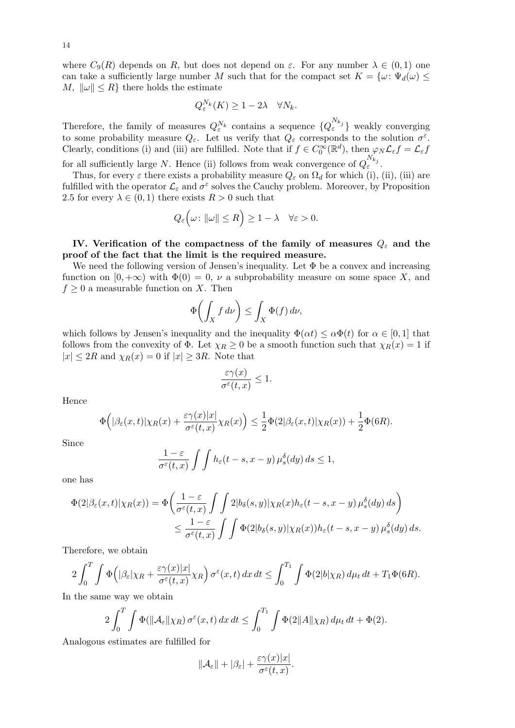where  $C_9(R)$  depends on R, but does not depend on  $\varepsilon$ . For any number  $\lambda \in (0,1)$  one can take a sufficiently large number M such that for the compact set  $K = {\omega : \Psi_d(\omega) \leq \Psi_d(\omega)}$ M,  $\|\omega\| \leq R$  there holds the estimate

$$
Q_{\varepsilon}^{N_k}(K) \ge 1 - 2\lambda \quad \forall N_k.
$$

Therefore, the family of measures  $Q_{\varepsilon}^{N_k}$  contains a sequence  $\{Q_{\varepsilon}^{N_{k_j}}\}$  weakly converging to some probability measure  $Q_{\varepsilon}$ . Let us verify that  $Q_{\varepsilon}$  corresponds to the solution  $\sigma^{\varepsilon}$ . Clearly, conditions (i) and (iii) are fulfilled. Note that if  $f \in C_0^{\infty}(\mathbb{R}^d)$ , then  $\varphi_N \mathcal{L}_{\varepsilon} f = \mathcal{L}_{\varepsilon} f$ for all sufficiently large N. Hence (ii) follows from weak convergence of  $Q_{\varepsilon}^{N_{k_j}}$ .

Thus, for every  $\varepsilon$  there exists a probability measure  $Q_{\varepsilon}$  on  $\Omega_d$  for which (i), (ii), (iii) are fulfilled with the operator  $\mathcal{L}_{\varepsilon}$  and  $\sigma^{\varepsilon}$  solves the Cauchy problem. Moreover, by Proposition 2.5 for every  $\lambda \in (0,1)$  there exists  $R > 0$  such that

$$
Q_{\varepsilon}\Big(\omega\colon \|\omega\|\leq R\Big)\geq 1-\lambda\quad \forall \varepsilon>0.
$$

## IV. Verification of the compactness of the family of measures  $Q_{\varepsilon}$  and the proof of the fact that the limit is the required measure.

We need the following version of Jensen's inequality. Let  $\Phi$  be a convex and increasing function on  $[0, +\infty)$  with  $\Phi(0) = 0$ ,  $\nu$  a subprobability measure on some space X, and  $f \geq 0$  a measurable function on X. Then

$$
\Phi\biggl(\int_X f\,d\nu\biggr) \leq \int_X \Phi(f)\,d\nu,
$$

which follows by Jensen's inequality and the inequality  $\Phi(\alpha t) \leq \alpha \Phi(t)$  for  $\alpha \in [0, 1]$  that follows from the convexity of  $\Phi$ . Let  $\chi_R \geq 0$  be a smooth function such that  $\chi_R(x) = 1$  if  $|x| \leq 2R$  and  $\chi_R(x) = 0$  if  $|x| \geq 3R$ . Note that

$$
\frac{\varepsilon \gamma(x)}{\sigma^\varepsilon(t,x)} \le 1.
$$

Hence

$$
\Phi\Big(|\beta_{\varepsilon}(x,t)|\chi_R(x)+\frac{\varepsilon\gamma(x)|x|}{\sigma^{\varepsilon}(t,x)}\chi_R(x)\Big)\leq \frac{1}{2}\Phi(2|\beta_{\varepsilon}(x,t)|\chi_R(x))+\frac{1}{2}\Phi(6R).
$$

Since

$$
\frac{1-\varepsilon}{\sigma^{\varepsilon}(t,x)}\int\int h_{\varepsilon}(t-s,x-y)\,\mu^{\delta}_s(dy)\,ds\leq 1,
$$

one has

$$
\Phi(2|\beta_{\varepsilon}(x,t)|\chi_{R}(x)) = \Phi\left(\frac{1-\varepsilon}{\sigma^{\varepsilon}(t,x)}\int\int 2|b_{\delta}(s,y)|\chi_{R}(x)h_{\varepsilon}(t-s,x-y)\,\mu_{s}^{\delta}(dy)\,ds\right) \leq \frac{1-\varepsilon}{\sigma^{\varepsilon}(t,x)}\int\int \Phi(2|b_{\delta}(s,y)|\chi_{R}(x))h_{\varepsilon}(t-s,x-y)\,\mu_{s}^{\delta}(dy)\,ds.
$$

Therefore, we obtain

$$
2\int_0^T \int \Phi\Big(|\beta_{\varepsilon}|\chi_R + \frac{\varepsilon\gamma(x)|x|}{\sigma^{\varepsilon}(t,x)}\chi_R\Big) \sigma^{\varepsilon}(x,t) \, dx \, dt \le \int_0^{T_1} \int \Phi(2|b|\chi_R) \, d\mu_t \, dt + T_1 \Phi(6R).
$$

In the same way we obtain

$$
2\int_0^T \int \Phi(\|\mathcal{A}_{\varepsilon}\|\chi_R) \,\sigma^{\varepsilon}(x,t) \,dx \,dt \le \int_0^{T_1} \int \Phi(2\|\mathcal{A}\|\chi_R) \,d\mu_t \,dt + \Phi(2).
$$

Analogous estimates are fulfilled for

$$
\|\mathcal{A}_{\varepsilon}\| + |\beta_{\varepsilon}| + \frac{\varepsilon \gamma(x)|x|}{\sigma^{\varepsilon}(t,x)}.
$$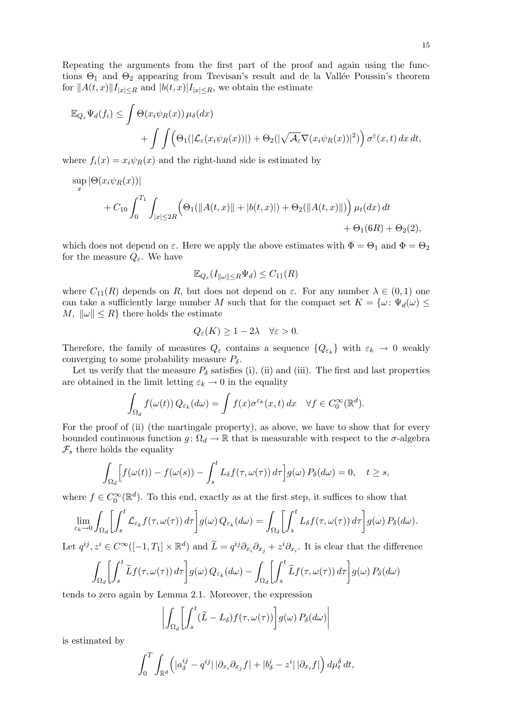Repeating the arguments from the first part of the proof and again using the functions  $\Theta_1$  and  $\Theta_2$  appearing from Trevisan's result and de la Vallée Poussin's theorem for  $||A(t, x)||I_{|x|\leq R}$  and  $|b(t, x)|I_{|x|\leq R}$ , we obtain the estimate

$$
\mathbb{E}_{Q_{\varepsilon}}\Psi_d(f_i) \leq \int \Theta(x_i\psi_R(x))\,\mu_{\delta}(dx) + \int \int \Big(\Theta_1(|\mathcal{L}_{\varepsilon}(x_i\psi_R(x))|) + \Theta_2(|\sqrt{\mathcal{A}_{\varepsilon}}\nabla(x_i\psi_R(x))|^2)\Big) \,\sigma^{\varepsilon}(x,t)\,dx\,dt,
$$

where  $f_i(x) = x_i \psi_R(x)$  and the right-hand side is estimated by

$$
\sup_x |\Theta(x_i \psi_R(x))|
$$
  
+  $C_{10} \int_0^{T_1} \int_{|x| \le 2R} \left( \Theta_1(||A(t, x)|| + |b(t, x)|) + \Theta_2(||A(t, x)||) \right) \mu_t(dx) dt$   
+  $\Theta_1(6R) + \Theta_2(2),$ 

which does not depend on  $\varepsilon$ . Here we apply the above estimates with  $\Phi = \Theta_1$  and  $\Phi = \Theta_2$ for the measure  $Q_{\varepsilon}$ . We have

$$
\mathbb{E}_{Q_{\varepsilon}}(I_{\|\omega\|\leq R}\Psi_d) \leq C_{11}(R)
$$

where  $C_{11}(R)$  depends on R, but does not depend on  $\varepsilon$ . For any number  $\lambda \in (0,1)$  one can take a sufficiently large number M such that for the compact set  $K = \{\omega : \Psi_d(\omega) \leq$ M,  $\|\omega\| \leq R$  there holds the estimate

$$
Q_{\varepsilon}(K) \ge 1 - 2\lambda \quad \forall \varepsilon > 0.
$$

Therefore, the family of measures  $Q_{\varepsilon}$  contains a sequence  $\{Q_{\varepsilon_k}\}\$  with  $\varepsilon_k \to 0$  weakly converging to some probability measure  $P_{\delta}$ .

Let us verify that the measure  $P_\delta$  satisfies (i), (ii) and (iii). The first and last properties are obtained in the limit letting  $\varepsilon_k \to 0$  in the equality

$$
\int_{\Omega_d} f(\omega(t)) Q_{\varepsilon_k}(d\omega) = \int f(x) \sigma^{\varepsilon_k}(x,t) dx \quad \forall f \in C_0^{\infty}(\mathbb{R}^d).
$$

For the proof of (ii) (the martingale property), as above, we have to show that for every bounded continuous function  $g: \Omega_d \to \mathbb{R}$  that is measurable with respect to the  $\sigma$ -algebra  $\mathcal{F}_s$  there holds the equality

$$
\int_{\Omega_d} \Bigl[ f(\omega(t)) - f(\omega(s)) - \int_s^t L_\delta f(\tau, \omega(\tau)) d\tau \Bigr] g(\omega) P_\delta(d\omega) = 0, \quad t \ge s,
$$

where  $f \in C_0^{\infty}(\mathbb{R}^d)$ . To this end, exactly as at the first step, it suffices to show that

$$
\lim_{\varepsilon_k \to 0} \int_{\Omega_d} \left[ \int_s^t \mathcal{L}_{\varepsilon_k} f(\tau, \omega(\tau)) d\tau \right] g(\omega) Q_{\varepsilon_k}(d\omega) = \int_{\Omega_d} \left[ \int_s^t L_\delta f(\tau, \omega(\tau)) d\tau \right] g(\omega) P_\delta(d\omega).
$$

Let  $q^{ij}, z^i \in C^{\infty}([-1, T_1] \times \mathbb{R}^d)$  and  $\widetilde{L} = q^{ij}\partial_{x_i}\partial_{x_j} + z^i\partial_{x_i}$ . It is clear that the difference

$$
\int_{\Omega_d} \left[ \int_s^t \widetilde{L} f(\tau, \omega(\tau)) d\tau \right] g(\omega) Q_{\varepsilon_k}(d\omega) - \int_{\Omega_d} \left[ \int_s^t \widetilde{L} f(\tau, \omega(\tau)) d\tau \right] g(\omega) P_{\delta}(d\omega)
$$

tends to zero again by Lemma 2.1. Moreover, the expression

$$
\left| \int_{\Omega_d} \left[ \int_s^t (\widetilde{L} - L_\delta) f(\tau, \omega(\tau)) \right] g(\omega) P_\delta(d\omega) \right|
$$

is estimated by

$$
\int_0^T \int_{\mathbb{R}^d} \left( |a_{\delta}^{ij} - q^{ij}| \, |\partial_{x_i}\partial_{x_j} f| + |b_{\delta}^i - z^i| \, |\partial_{x_i} f| \right) d\mu_t^{\delta} dt,
$$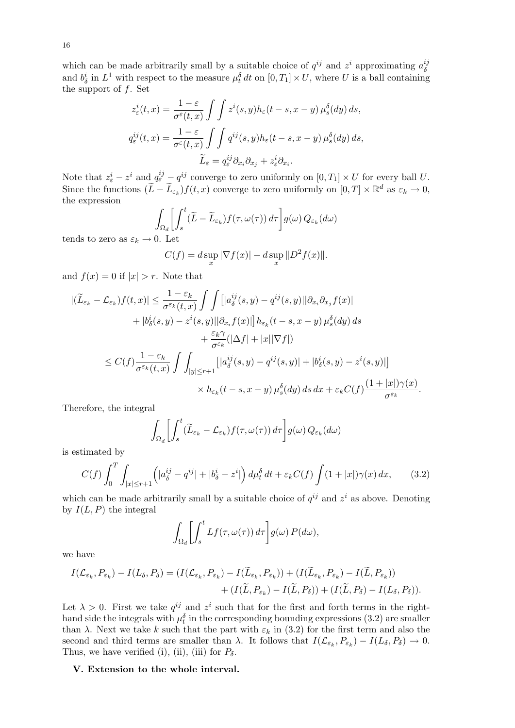which can be made arbitrarily small by a suitable choice of  $q^{ij}$  and  $z^i$  approximating  $a^{ij}_{\lambda}$ δ and  $b_{\delta}^{i}$  in  $L^{1}$  with respect to the measure  $\mu_{t}^{\delta} dt$  on  $[0, T_{1}] \times U$ , where U is a ball containing the support of  $f$ . Set

$$
z_{\varepsilon}^{i}(t,x) = \frac{1-\varepsilon}{\sigma^{\varepsilon}(t,x)} \int \int z^{i}(s,y) h_{\varepsilon}(t-s,x-y) \,\mu_{s}^{\delta}(dy) \, ds,
$$
  

$$
q_{\varepsilon}^{ij}(t,x) = \frac{1-\varepsilon}{\sigma^{\varepsilon}(t,x)} \int \int q^{ij}(s,y) h_{\varepsilon}(t-s,x-y) \,\mu_{s}^{\delta}(dy) \, ds,
$$
  

$$
\widetilde{L}_{\varepsilon} = q_{\varepsilon}^{ij} \partial_{x_{i}} \partial_{x_{j}} + z_{\varepsilon}^{i} \partial_{x_{i}}.
$$

Note that  $z_{\varepsilon}^i - z^i$  and  $q_{\varepsilon}^{ij} - q^{ij}$  converge to zero uniformly on  $[0, T_1] \times U$  for every ball U. Since the functions  $(\widetilde{L}-\widetilde{L}_{\varepsilon_k})f(t,x)$  converge to zero uniformly on  $[0,T] \times \mathbb{R}^d$  as  $\varepsilon_k \to 0$ , the expression

$$
\int_{\Omega_d} \left[ \int_s^t (\widetilde{L} - \widetilde{L}_{\varepsilon_k}) f(\tau, \omega(\tau)) d\tau \right] g(\omega) Q_{\varepsilon_k}(d\omega)
$$

tends to zero as  $\varepsilon_k \to 0$ . Let

$$
C(f) = d \sup_x |\nabla f(x)| + d \sup_x \|D^2 f(x)\|.
$$

and  $f(x) = 0$  if  $|x| > r$ . Note that

$$
\begin{split} |(\widetilde{L}_{\varepsilon_k} - \mathcal{L}_{\varepsilon_k})f(t,x)| &\leq \frac{1 - \varepsilon_k}{\sigma^{\varepsilon_k}(t,x)} \int \int \left[ |a_{\delta}^{ij}(s,y) - q^{ij}(s,y)| |\partial_{x_i}\partial_{x_j} f(x)| \right. \\ &\quad + |b_{\delta}^{i}(s,y) - z^{i}(s,y)| |\partial_{x_i} f(x)| \right] h_{\varepsilon_k}(t-s,x-y) \, \mu_s^{\delta}(dy) \, ds \\ &\quad + \frac{\varepsilon_k \gamma}{\sigma^{\varepsilon_k}} (|\Delta f| + |x||\nabla f|) \\ &\leq C(f) \frac{1 - \varepsilon_k}{\sigma^{\varepsilon_k}(t,x)} \int \int_{|y| \leq r+1} \left[ |a_{\delta}^{ij}(s,y) - q^{ij}(s,y)| + |b_{\delta}^{i}(s,y) - z^{i}(s,y)| \right] \\ &\quad \times h_{\varepsilon_k}(t-s,x-y) \, \mu_s^{\delta}(dy) \, ds \, dx + \varepsilon_k C(f) \frac{(1+|x|)\gamma(x)}{\sigma^{\varepsilon_k}}. \end{split}
$$

Therefore, the integral

$$
\int_{\Omega_d} \left[ \int_s^t (\widetilde{L}_{\varepsilon_k} - \mathcal{L}_{\varepsilon_k}) f(\tau, \omega(\tau)) d\tau \right] g(\omega) Q_{\varepsilon_k}(d\omega)
$$

is estimated by

$$
C(f) \int_0^T \int_{|x| \le r+1} \left( |a_\delta^{ij} - q^{ij}| + |b_\delta^i - z^i| \right) d\mu_t^\delta dt + \varepsilon_k C(f) \int (1+|x|) \gamma(x) dx, \qquad (3.2)
$$

which can be made arbitrarily small by a suitable choice of  $q^{ij}$  and  $z^i$  as above. Denoting by  $I(L, P)$  the integral

$$
\int_{\Omega_d} \left[ \int_s^t Lf(\tau, \omega(\tau)) d\tau \right] g(\omega) P(d\omega),
$$

we have

$$
I(\mathcal{L}_{\varepsilon_k}, P_{\varepsilon_k}) - I(L_{\delta}, P_{\delta}) = (I(\mathcal{L}_{\varepsilon_k}, P_{\varepsilon_k}) - I(\widetilde{L}_{\varepsilon_k}, P_{\varepsilon_k})) + (I(\widetilde{L}_{\varepsilon_k}, P_{\varepsilon_k}) - I(\widetilde{L}, P_{\varepsilon_k})) + (I(\widetilde{L}, P_{\varepsilon_k}) - I(\widetilde{L}, P_{\delta})) + (I(\widetilde{L}, P_{\delta}) - I(L_{\delta}, P_{\delta})).
$$

Let  $\lambda > 0$ . First we take  $q^{ij}$  and  $z^i$  such that for the first and forth terms in the righthand side the integrals with  $\mu_t^{\delta}$  in the corresponding bounding expressions (3.2) are smaller than  $\lambda$ . Next we take k such that the part with  $\varepsilon_k$  in (3.2) for the first term and also the second and third terms are smaller than  $\lambda$ . It follows that  $I(\mathcal{L}_{\varepsilon_k}, P_{\varepsilon_k}) - I(L_\delta, P_\delta) \to 0$ . Thus, we have verified (i), (ii), (iii) for  $P_\delta$ .

### V. Extension to the whole interval.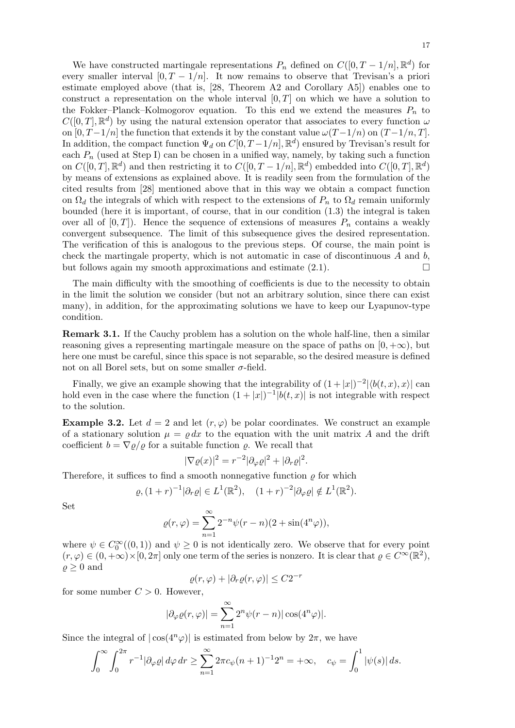We have constructed martingale representations  $P_n$  defined on  $C([0, T-1/n], \mathbb{R}^d)$  for every smaller interval  $[0, T - 1/n]$ . It now remains to observe that Trevisan's a priori estimate employed above (that is, [28, Theorem A2 and Corollary A5]) enables one to construct a representation on the whole interval  $[0, T]$  on which we have a solution to the Fokker–Planck–Kolmogorov equation. To this end we extend the measures  $P_n$  to  $C([0,T], \mathbb{R}^d)$  by using the natural extension operator that associates to every function  $\omega$ on  $[0, T-1/n]$  the function that extends it by the constant value  $\omega(T-1/n)$  on  $(T-1/n, T]$ . In addition, the compact function  $\Psi_d$  on  $C[0, T-1/n]$ ,  $\mathbb{R}^d$ ) ensured by Trevisan's result for each  $P_n$  (used at Step I) can be chosen in a unified way, namely, by taking such a function on  $C([0,T], \mathbb{R}^d)$  and then restricting it to  $C([0, T-1/n], \mathbb{R}^d)$  embedded into  $C([0, T], \mathbb{R}^d)$ by means of extensions as explained above. It is readily seen from the formulation of the cited results from [28] mentioned above that in this way we obtain a compact function on  $\Omega_d$  the integrals of which with respect to the extensions of  $P_n$  to  $\Omega_d$  remain uniformly bounded (here it is important, of course, that in our condition (1.3) the integral is taken over all of  $[0, T]$ ). Hence the sequence of extensions of measures  $P_n$  contains a weakly convergent subsequence. The limit of this subsequence gives the desired representation. The verification of this is analogous to the previous steps. Of course, the main point is check the martingale property, which is not automatic in case of discontinuous  $A$  and  $b$ , but follows again my smooth approximations and estimate  $(2.1)$ .

The main difficulty with the smoothing of coefficients is due to the necessity to obtain in the limit the solution we consider (but not an arbitrary solution, since there can exist many), in addition, for the approximating solutions we have to keep our Lyapunov-type condition.

Remark 3.1. If the Cauchy problem has a solution on the whole half-line, then a similar reasoning gives a representing martingale measure on the space of paths on  $[0, +\infty)$ , but here one must be careful, since this space is not separable, so the desired measure is defined not on all Borel sets, but on some smaller  $\sigma$ -field.

Finally, we give an example showing that the integrability of  $(1+|x|)^{-2} |\langle b(t,x), x \rangle|$  can hold even in the case where the function  $(1+|x|)^{-1} |b(t,x)|$  is not integrable with respect to the solution.

**Example 3.2.** Let  $d = 2$  and let  $(r, \varphi)$  be polar coordinates. We construct an example of a stationary solution  $\mu = \rho dx$  to the equation with the unit matrix A and the drift coefficient  $b = \nabla \varrho / \varrho$  for a suitable function  $\varrho$ . We recall that

$$
|\nabla \varrho(x)|^2 = r^{-2} |\partial_{\varphi} \varrho|^2 + |\partial_r \varrho|^2.
$$

Therefore, it suffices to find a smooth nonnegative function  $\rho$  for which

$$
\varrho, (1+r)^{-1}|\partial_r \varrho| \in L^1(\mathbb{R}^2), \quad (1+r)^{-2}|\partial_\varphi \varrho| \notin L^1(\mathbb{R}^2).
$$

Set

$$
\varrho(r,\varphi) = \sum_{n=1}^{\infty} 2^{-n} \psi(r-n)(2+\sin(4^n \varphi)),
$$

where  $\psi \in C_0^{\infty}((0,1))$  and  $\psi \geq 0$  is not identically zero. We observe that for every point  $(r, \varphi) \in (0, +\infty) \times [0, 2\pi]$  only one term of the series is nonzero. It is clear that  $\varrho \in C^{\infty}(\mathbb{R}^2)$ ,  $\rho \geq 0$  and

$$
\varrho(r,\varphi) + |\partial_r \varrho(r,\varphi)| \le C2^{-r}
$$

for some number  $C > 0$ . However,

$$
|\partial_{\varphi}\varrho(r,\varphi)| = \sum_{n=1}^{\infty} 2^n \psi(r-n) |\cos(4^n \varphi)|.
$$

Since the integral of  $|\cos(4^n\varphi)|$  is estimated from below by  $2\pi$ , we have

$$
\int_0^\infty \int_0^{2\pi} r^{-1} |\partial_\varphi \varrho| \, d\varphi \, dr \ge \sum_{n=1}^\infty 2\pi c_\psi (n+1)^{-1} 2^n = +\infty, \quad c_\psi = \int_0^1 |\psi(s)| \, ds.
$$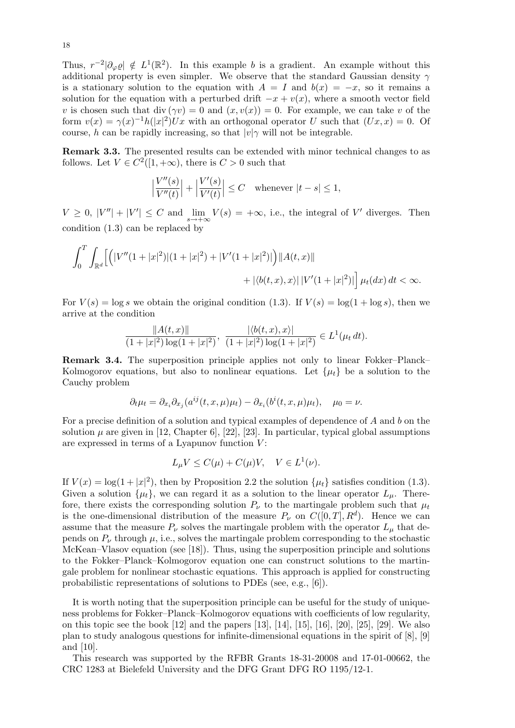Thus,  $r^{-2}|\partial_{\varphi}\varrho|\notin L^{1}(\mathbb{R}^{2})$ . In this example b is a gradient. An example without this additional property is even simpler. We observe that the standard Gaussian density  $\gamma$ is a stationary solution to the equation with  $A = I$  and  $b(x) = -x$ , so it remains a solution for the equation with a perturbed drift  $-x + v(x)$ , where a smooth vector field v is chosen such that div  $(\gamma v) = 0$  and  $(x, v(x)) = 0$ . For example, we can take v of the form  $v(x) = \gamma(x)^{-1}h(|x|^2)Ux$  with an orthogonal operator U such that  $(Ux, x) = 0$ . Of course, h can be rapidly increasing, so that  $|v|\gamma$  will not be integrable.

Remark 3.3. The presented results can be extended with minor technical changes to as follows. Let  $V \in C^2([1, +\infty))$ , there is  $C > 0$  such that

$$
\Big|\frac{V''(s)}{V''(t)}\Big|+\Big|\frac{V'(s)}{V'(t)}\Big|\leq C\quad\text{whenever}\ |t-s|\leq 1,
$$

 $V \geq 0, |V''| + |V'| \leq C$  and  $\lim_{s \to +\infty} V(s) = +\infty$ , i.e., the integral of V' diverges. Then condition (1.3) can be replaced by

$$
\int_0^T \int_{\mathbb{R}^d} \left[ \left( |V''(1+|x|^2)|(1+|x|^2) + |V'(1+|x|^2) |\right) ||A(t,x)|| + |\langle b(t,x),x \rangle| \, |V'(1+|x|^2)| \right] \mu_t(dx) \, dt < \infty.
$$

For  $V(s) = \log s$  we obtain the original condition (1.3). If  $V(s) = \log(1 + \log s)$ , then we arrive at the condition

$$
\frac{\|A(t,x)\|}{(1+|x|^2)\log(1+|x|^2)}, \frac{|\langle b(t,x),x\rangle|}{(1+|x|^2)\log(1+|x|^2)} \in L^1(\mu_t dt).
$$

Remark 3.4. The superposition principle applies not only to linear Fokker–Planck– Kolmogorov equations, but also to nonlinear equations. Let  $\{\mu_t\}$  be a solution to the Cauchy problem

$$
\partial_t \mu_t = \partial_{x_i} \partial_{x_j} (a^{ij}(t, x, \mu)\mu_t) - \partial_{x_i} (b^i(t, x, \mu)\mu_t), \quad \mu_0 = \nu.
$$

For a precise definition of a solution and typical examples of dependence of A and b on the solution  $\mu$  are given in [12, Chapter 6], [22], [23]. In particular, typical global assumptions are expressed in terms of a Lyapunov function  $V$ :

$$
L_{\mu}V \le C(\mu) + C(\mu)V, \quad V \in L^{1}(\nu).
$$

If  $V(x) = \log(1+|x|^2)$ , then by Proposition 2.2 the solution  $\{\mu_t\}$  satisfies condition (1.3). Given a solution  $\{\mu_t\}$ , we can regard it as a solution to the linear operator  $L_\mu$ . Therefore, there exists the corresponding solution  $P_{\nu}$  to the martingale problem such that  $\mu_t$ is the one-dimensional distribution of the measure  $P_{\nu}$  on  $C([0,T], R^d)$ . Hence we can assume that the measure  $P_\nu$  solves the martingale problem with the operator  $L_\mu$  that depends on  $P_\nu$  through  $\mu$ , i.e., solves the martingale problem corresponding to the stochastic McKean–Vlasov equation (see [18]). Thus, using the superposition principle and solutions to the Fokker–Planck–Kolmogorov equation one can construct solutions to the martingale problem for nonlinear stochastic equations. This approach is applied for constructing probabilistic representations of solutions to PDEs (see, e.g., [6]).

It is worth noting that the superposition principle can be useful for the study of uniqueness problems for Fokker–Planck–Kolmogorov equations with coefficients of low regularity, on this topic see the book  $[12]$  and the papers  $[13]$ ,  $[14]$ ,  $[15]$ ,  $[16]$ ,  $[20]$ ,  $[25]$ ,  $[29]$ . We also plan to study analogous questions for infinite-dimensional equations in the spirit of [8], [9] and [10].

This research was supported by the RFBR Grants 18-31-20008 and 17-01-00662, the CRC 1283 at Bielefeld University and the DFG Grant DFG RO 1195/12-1.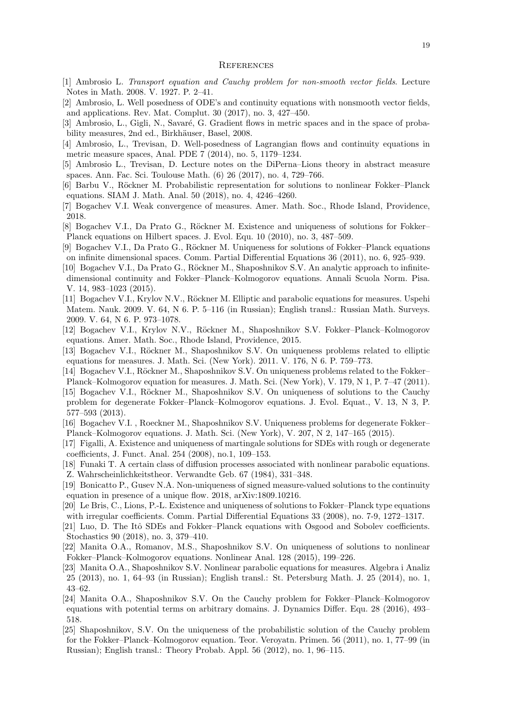- [1] Ambrosio L. Transport equation and Cauchy problem for non-smooth vector fields. Lecture Notes in Math. 2008. V. 1927. P. 2–41.
- [2] Ambrosio, L. Well posedness of ODE's and continuity equations with nonsmooth vector fields, and applications. Rev. Mat. Complut. 30 (2017), no. 3, 427–450.
- [3] Ambrosio, L., Gigli, N., Savaré, G. Gradient flows in metric spaces and in the space of probability measures, 2nd ed., Birkhäuser, Basel, 2008.
- [4] Ambrosio, L., Trevisan, D. Well-posedness of Lagrangian flows and continuity equations in metric measure spaces, Anal. PDE 7 (2014), no. 5, 1179–1234.
- [5] Ambrosio L., Trevisan, D. Lecture notes on the DiPerna–Lions theory in abstract measure spaces. Ann. Fac. Sci. Toulouse Math. (6) 26 (2017), no. 4, 729–766.
- [6] Barbu V., Röckner M. Probabilistic representation for solutions to nonlinear Fokker–Planck equations. SIAM J. Math. Anal. 50 (2018), no. 4, 4246–4260.
- [7] Bogachev V.I. Weak convergence of measures. Amer. Math. Soc., Rhode Island, Providence, 2018.
- [8] Bogachev V.I., Da Prato G., Röckner M. Existence and uniqueness of solutions for Fokker– Planck equations on Hilbert spaces. J. Evol. Equ. 10 (2010), no. 3, 487–509.
- [9] Bogachev V.I., Da Prato G., Röckner M. Uniqueness for solutions of Fokker–Planck equations on infinite dimensional spaces. Comm. Partial Differential Equations 36 (2011), no. 6, 925–939.
- [10] Bogachev V.I., Da Prato G., Röckner M., Shaposhnikov S.V. An analytic approach to infinitedimensional continuity and Fokker–Planck–Kolmogorov equations. Annali Scuola Norm. Pisa. V. 14, 983–1023 (2015).
- [11] Bogachev V.I., Krylov N.V., Röckner M. Elliptic and parabolic equations for measures. Uspehi Matem. Nauk. 2009. V. 64, N 6. P. 5–116 (in Russian); English transl.: Russian Math. Surveys. 2009. V. 64, N 6. P. 973–1078.
- [12] Bogachev V.I., Krylov N.V., Röckner M., Shaposhnikov S.V. Fokker–Planck–Kolmogorov equations. Amer. Math. Soc., Rhode Island, Providence, 2015.
- [13] Bogachev V.I., Röckner M., Shaposhnikov S.V. On uniqueness problems related to elliptic equations for measures. J. Math. Sci. (New York). 2011. V. 176, N 6. P. 759–773.
- [14] Bogachev V.I., Röckner M., Shaposhnikov S.V. On uniqueness problems related to the Fokker– Planck–Kolmogorov equation for measures. J. Math. Sci. (New York), V. 179, N 1, P. 7–47 (2011).
- [15] Bogachev V.I., Röckner M., Shaposhnikov S.V. On uniqueness of solutions to the Cauchy problem for degenerate Fokker–Planck–Kolmogorov equations. J. Evol. Equat., V. 13, N 3, P. 577–593 (2013).
- [16] Bogachev V.I., Roeckner M., Shaposhnikov S.V. Uniqueness problems for degenerate Fokker– Planck–Kolmogorov equations. J. Math. Sci. (New York), V. 207, N 2, 147–165 (2015).
- [17] Figalli, A. Existence and uniqueness of martingale solutions for SDEs with rough or degenerate coefficients, J. Funct. Anal. 254 (2008), no.1, 109–153.
- [18] Funaki T. A certain class of diffusion processes associated with nonlinear parabolic equations. Z. Wahrscheinlichkeitstheor. Verwandte Geb. 67 (1984), 331–348.
- [19] Bonicatto P., Gusev N.A. Non-uniqueness of signed measure-valued solutions to the continuity equation in presence of a unique flow. 2018, arXiv:1809.10216.
- [20] Le Bris, C., Lions, P.-L. Existence and uniqueness of solutions to Fokker–Planck type equations with irregular coefficients. Comm. Partial Differential Equations 33 (2008), no. 7-9, 1272–1317.
- [21] Luo, D. The Itô SDEs and Fokker–Planck equations with Osgood and Sobolev coefficients. Stochastics 90 (2018), no. 3, 379–410.
- [22] Manita O.A., Romanov, M.S., Shaposhnikov S.V. On uniqueness of solutions to nonlinear Fokker–Planck–Kolmogorov equations. Nonlinear Anal. 128 (2015), 199–226.
- [23] Manita O.A., Shaposhnikov S.V. Nonlinear parabolic equations for measures. Algebra i Analiz 25 (2013), no. 1, 64–93 (in Russian); English transl.: St. Petersburg Math. J. 25 (2014), no. 1, 43–62.
- [24] Manita O.A., Shaposhnikov S.V. On the Cauchy problem for Fokker–Planck–Kolmogorov equations with potential terms on arbitrary domains. J. Dynamics Differ. Equ. 28 (2016), 493– 518.
- [25] Shaposhnikov, S.V. On the uniqueness of the probabilistic solution of the Cauchy problem for the Fokker–Planck–Kolmogorov equation. Teor. Veroyatn. Primen. 56 (2011), no. 1, 77–99 (in Russian); English transl.: Theory Probab. Appl. 56 (2012), no. 1, 96–115.